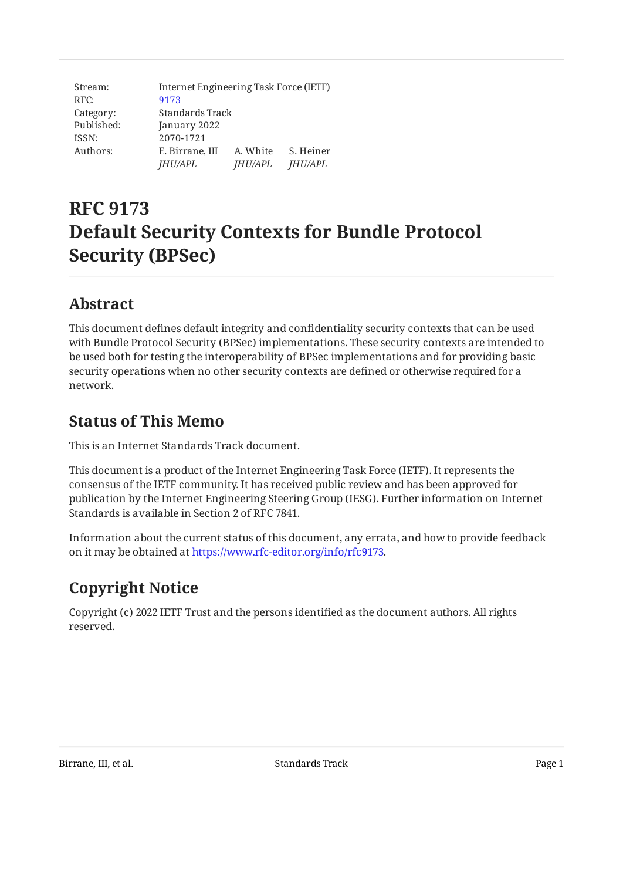| Stream:    |                 | Internet Engineering Task Force (IETF) |                |  |
|------------|-----------------|----------------------------------------|----------------|--|
| RFC:       | 9173            |                                        |                |  |
| Category:  | Standards Track |                                        |                |  |
| Published: | January 2022    |                                        |                |  |
| ISSN:      | 2070-1721       |                                        |                |  |
| Authors:   | E. Birrane, III | A. White                               | S. Heiner      |  |
|            | <i>JHU/APL</i>  | <i>JHU/APL</i>                         | <b>JHU/APL</b> |  |

# **RFC 9173 Default Security Contexts for Bundle Protocol Security (BPSec)**

# <span id="page-0-0"></span>**[Abstract](#page-0-0)**

This document defines default integrity and confidentiality security contexts that can be used with Bundle Protocol Security (BPSec) implementations. These security contexts are intended to be used both for testing the interoperability of BPSec implementations and for providing basic security operations when no other security contexts are defined or otherwise required for a network.

# <span id="page-0-1"></span>**[Status of This Memo](#page-0-1)**

This is an Internet Standards Track document.

This document is a product of the Internet Engineering Task Force (IETF). It represents the consensus of the IETF community. It has received public review and has been approved for publication by the Internet Engineering Steering Group (IESG). Further information on Internet Standards is available in Section 2 of RFC 7841.

Information about the current status of this document, any errata, and how to provide feedback on it may be obtained at [https://www.rfc-editor.org/info/rfc9173.](https://www.rfc-editor.org/info/rfc9173)

# <span id="page-0-2"></span>**[Copyright Notice](#page-0-2)**

Copyright (c) 2022 IETF Trust and the persons identified as the document authors. All rights reserved.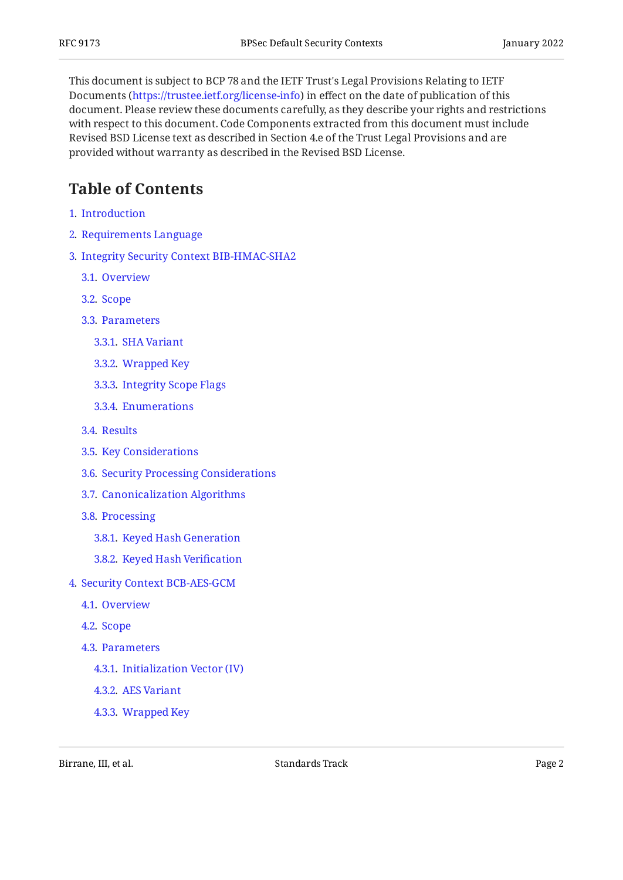This document is subject to BCP 78 and the IETF Trust's Legal Provisions Relating to IETF Documents (<https://trustee.ietf.org/license-info>) in effect on the date of publication of this document. Please review these documents carefully, as they describe your rights and restrictions with respect to this document. Code Components extracted from this document must include Revised BSD License text as described in Section 4.e of the Trust Legal Provisions and are provided without warranty as described in the Revised BSD License.

# <span id="page-1-0"></span>**[Table of Contents](#page-1-0)**

- [1](#page-3-0). [Introduction](#page-3-0)
- [2](#page-4-0). [Requirements Language](#page-4-0)
- [3](#page-4-1). [Integrity Security Context BIB-HMAC-SHA2](#page-4-1)
	- [3.1.](#page-4-2) [Overview](#page-4-2)
	- [3.2.](#page-4-3) [Scope](#page-4-3)
	- [3.3.](#page-6-0) [Parameters](#page-6-0)
		- [3.3.1](#page-6-1). [SHA Variant](#page-6-1)
		- [3.3.2](#page-7-0). [Wrapped Key](#page-7-0)
		- [3.3.3](#page-7-1). [Integrity Scope Flags](#page-7-1)
		- [3.3.4](#page-8-0). [Enumerations](#page-8-0)
	- [3.4.](#page-8-1) [Results](#page-8-1)
	- [3.5.](#page-8-2) [Key Considerations](#page-8-2)
	- [3.6.](#page-9-0) [Security Processing Considerations](#page-9-0)
	- [3.7.](#page-9-1) [Canonicalization Algorithms](#page-9-1)
	- [3.8.](#page-10-0) [Processing](#page-10-0)
		- [3.8.1](#page-10-1). [Keyed Hash Generation](#page-10-1)
		- [3.8.2](#page-11-0). [Keyed Hash Veri](#page-11-0)fication
- [4](#page-12-0). [Security Context BCB-AES-GCM](#page-12-0)
	- [4.1.](#page-12-1) [Overview](#page-12-1)
	- [4.2.](#page-12-2) [Scope](#page-12-2)
	- [4.3.](#page-14-0) [Parameters](#page-14-0)
		- [4.3.1](#page-14-1). [Initialization Vector \(IV\)](#page-14-1)
		- [4.3.2](#page-14-2). [AES Variant](#page-14-2)
		- [4.3.3](#page-15-0). [Wrapped Key](#page-15-0)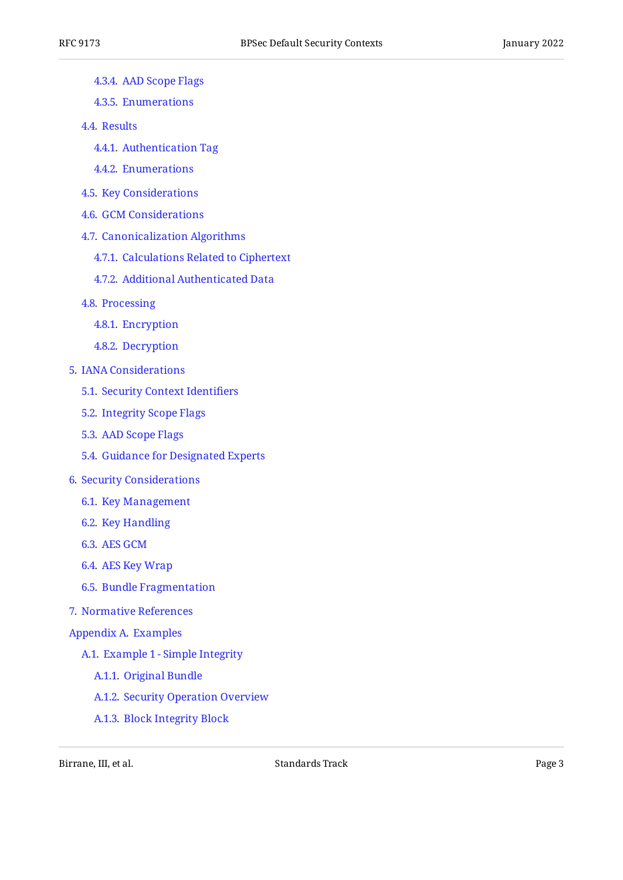- [4.3.4](#page-15-1). [AAD Scope Flags](#page-15-1)
- [4.3.5](#page-16-0). [Enumerations](#page-16-0)
- [4.4.](#page-16-1) [Results](#page-16-1)
	- [4.4.1](#page-16-2). [Authentication Tag](#page-16-2)
	- [4.4.2](#page-17-0). [Enumerations](#page-17-0)
- [4.5.](#page-17-1) [Key Considerations](#page-17-1)
- [4.6.](#page-18-0) [GCM Considerations](#page-18-0)
- [4.7.](#page-18-1) [Canonicalization Algorithms](#page-18-1)
	- [4.7.1](#page-19-0). [Calculations Related to Ciphertext](#page-19-0)
	- [4.7.2](#page-19-1). [Additional Authenticated Data](#page-19-1)
- [4.8.](#page-20-0) [Processing](#page-20-0)
	- [4.8.1](#page-20-1). [Encryption](#page-20-1)
	- [4.8.2](#page-21-0). [Decryption](#page-21-0)
- [5](#page-22-0). [IANA Considerations](#page-22-0)
	- [5.1.](#page-22-1) [Security Context Identi](#page-22-1)fiers
	- [5.2.](#page-22-2) [Integrity Scope Flags](#page-22-2)
	- [5.3.](#page-23-0) [AAD Scope Flags](#page-23-0)
	- [5.4.](#page-23-1) [Guidance for Designated Experts](#page-23-1)
- [6](#page-24-0). [Security Considerations](#page-24-0)
	- [6.1.](#page-24-1) [Key Management](#page-24-1)
	- [6.2.](#page-25-0) [Key Handling](#page-25-0)
	- [6.3.](#page-25-1) [AES GCM](#page-25-1)
	- [6.4.](#page-26-0) [AES Key Wrap](#page-26-0)
	- [6.5.](#page-26-1) [Bundle Fragmentation](#page-26-1)
- [7](#page-26-2). [Normative References](#page-26-2)
- [Appendix A.](#page-27-0) [Examples](#page-27-0)
	- [A.1](#page-28-0). [Example 1 Simple Integrity](#page-28-0)
		- [A.1.1.](#page-28-1) [Original Bundle](#page-28-1)
		- [A.1.2.](#page-30-0) [Security Operation Overview](#page-30-0)
		- [A.1.3.](#page-30-1) [Block Integrity Block](#page-30-1)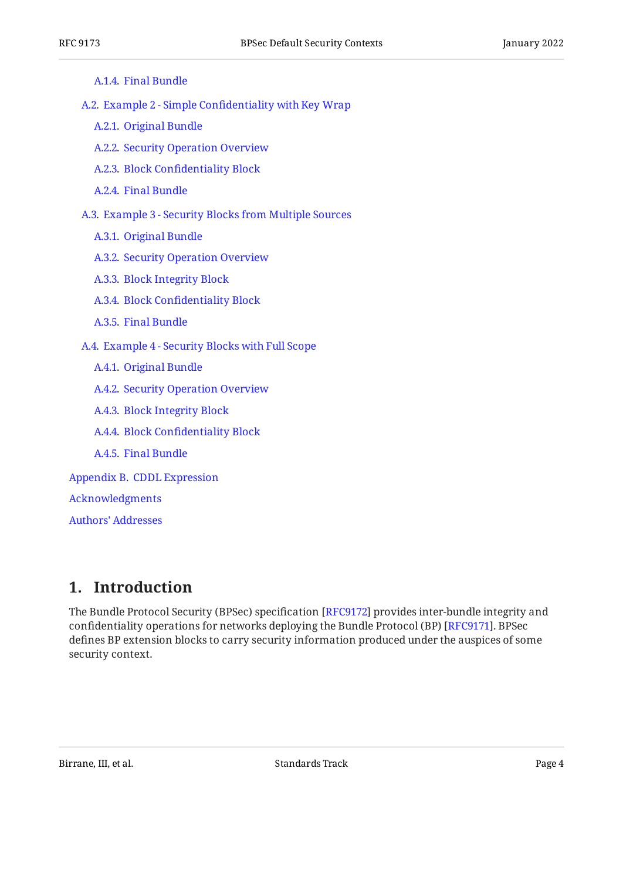| A.1.4. Final Bundle |
|---------------------|
|---------------------|

[A.2](#page-32-1). Example 2 - Simple Confi[dentiality with Key Wrap](#page-32-1)

- [A.2.1.](#page-32-2) [Original Bundle](#page-32-2)
- [A.2.2.](#page-33-0) [Security Operation Overview](#page-33-0)
- [A.2.3.](#page-34-0) Block Confi[dentiality Block](#page-34-0)
- [A.2.4.](#page-35-0) [Final Bundle](#page-35-0)

[A.3](#page-36-0). [Example 3 - Security Blocks from Multiple Sources](#page-36-0)

- [A.3.1.](#page-36-1) [Original Bundle](#page-36-1)
- [A.3.2.](#page-37-0) [Security Operation Overview](#page-37-0)
- [A.3.3.](#page-38-0) [Block Integrity Block](#page-38-0)
- [A.3.4.](#page-40-0) Block Confi[dentiality Block](#page-40-0)
- [A.3.5.](#page-41-0) [Final Bundle](#page-41-0)
- [A.4](#page-42-0). [Example 4 Security Blocks with Full Scope](#page-42-0)
	- [A.4.1.](#page-42-1) [Original Bundle](#page-42-1)
	- [A.4.2.](#page-43-0) [Security Operation Overview](#page-43-0)
	- [A.4.3.](#page-43-1) [Block Integrity Block](#page-43-1)
	- [A.4.4.](#page-45-0) Block Confi[dentiality Block](#page-45-0)
	- [A.4.5.](#page-48-0) [Final Bundle](#page-48-0)
- [Appendix B.](#page-48-1) [CDDL Expression](#page-48-1)

#### [Acknowledgments](#page-49-0)

[Authors' Addresses](#page-50-0)

## <span id="page-3-0"></span>**[1. Introduction](#page-3-0)**

The Bundle Protocol Security (BPSec) specification [RFC9172] provides inter-bundle integrity and confidentiality operations for networks deploying the Bundle Protocol (BP) [RFC9171]. BPSec defines BP extension blocks to carry security information produced under the auspices of some security context.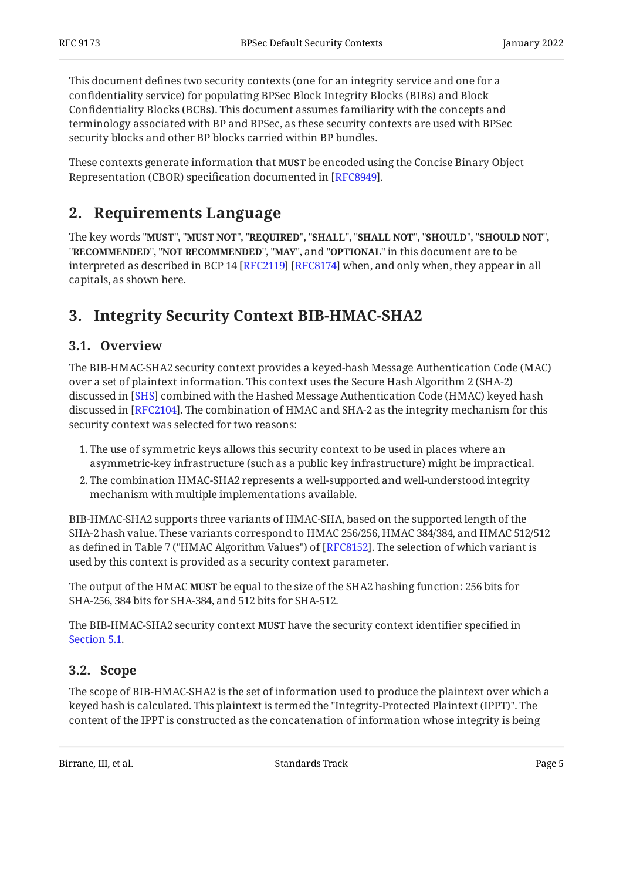This document defines two security contexts (one for an integrity service and one for a confidentiality service) for populating BPSec Block Integrity Blocks (BIBs) and Block Confidentiality Blocks (BCBs). This document assumes familiarity with the concepts and terminology associated with BP and BPSec, as these security contexts are used with BPSec security blocks and other BP blocks carried within BP bundles.

<span id="page-4-0"></span>These contexts generate information that **MUST** be encoded using the Concise Binary Object Representation (CBOR) specification documented in [RFC8949].

# **[2. Requirements Language](#page-4-0)**

The key words "MUST", "MUST NOT", "REQUIRED", "SHALL", "SHALL NOT", "SHOULD", "SHOULD NOT", "**RECOMMENDED", "NOT RECOMMENDED", "MAY",** and "OPTIONAL" in this document are to be interpreted as described in BCP 14 [RFC2119] [RFC8174] when, and only when, they appear in all capitals, as shown here.

# <span id="page-4-2"></span><span id="page-4-1"></span>**[3. Integrity Security Context BIB-HMAC-SHA2](#page-4-1)**

## **[3.1. Overview](#page-4-2)**

The BIB-HMAC-SHA2 security context provides a keyed-hash Message Authentication Code (MAC) over a set of plaintext information. This context uses the Secure Hash Algorithm 2 (SHA-2) discussed in [SHS] combined with the Hashed Message Authentication Code (HMAC) keyed hash discussed in [[RFC2104\]](#page-26-3). The combination of HMAC and SHA-2 as the integrity mechanism for this security context was selected for two reasons:

- The use of symmetric keys allows this security context to be used in places where an 1. asymmetric-key infrastructure (such as a public key infrastructure) might be impractical.
- The combination HMAC-SHA2 represents a well-supported and well-understood integrity 2. mechanism with multiple implementations available.

BIB-HMAC-SHA2 supports three variants of HMAC-SHA, based on the supported length of the SHA-2 hash value. These variants correspond to HMAC 256/256, HMAC 384/384, and HMAC 512/512 as defined in Table 7 ("HMAC Algorithm Values") of [[RFC8152\]](#page-27-7). The selection of which variant is used by this context is provided as a security context parameter.

The output of the HMAC **MUST** be equal to the size of the SHA2 hashing function: 256 bits for SHA-256, 384 bits for SHA-384, and 512 bits for SHA-512.

The BIB-HMAC-SHA2 security context **MUST** have the security context identifier specified in [Section 5.1](#page-22-1).

## <span id="page-4-3"></span>**[3.2. Scope](#page-4-3)**

The scope of BIB-HMAC-SHA2 is the set of information used to produce the plaintext over which a keyed hash is calculated. This plaintext is termed the "Integrity-Protected Plaintext (IPPT)". The content of the IPPT is constructed as the concatenation of information whose integrity is being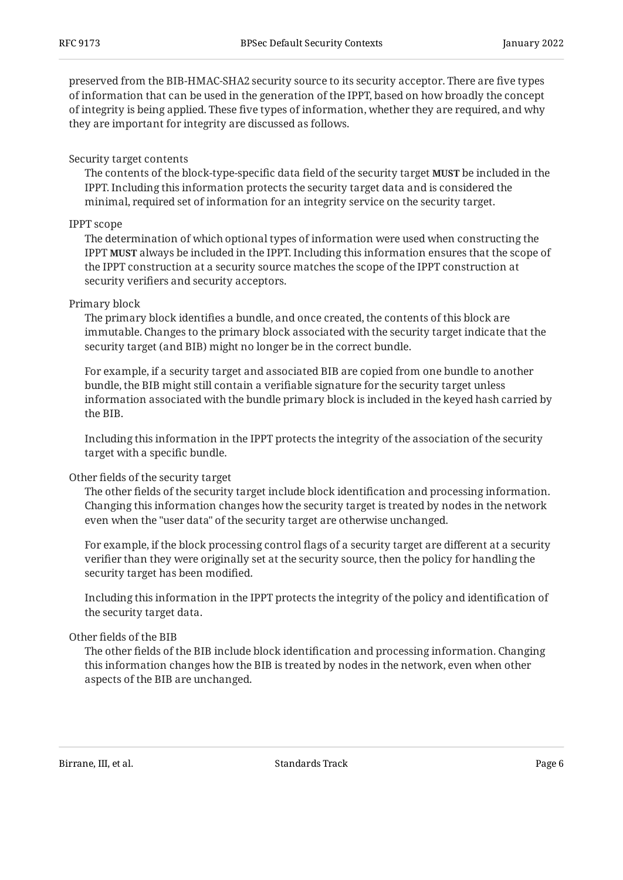preserved from the BIB-HMAC-SHA2 security source to its security acceptor. There are five types of information that can be used in the generation of the IPPT, based on how broadly the concept of integrity is being applied. These five types of information, whether they are required, and why they are important for integrity are discussed as follows.

## Security target contents

The contents of the block-type-specific data field of the security target **MUST** be included in the IPPT. Including this information protects the security target data and is considered the minimal, required set of information for an integrity service on the security target.

## IPPT scope

The determination of which optional types of information were used when constructing the <code>IPPT</code> <code>MUST</code> always be included in the IPPT. Including this information ensures that the scope of the IPPT construction at a security source matches the scope of the IPPT construction at security verifiers and security acceptors.

## Primary block

The primary block identifies a bundle, and once created, the contents of this block are immutable. Changes to the primary block associated with the security target indicate that the security target (and BIB) might no longer be in the correct bundle.

For example, if a security target and associated BIB are copied from one bundle to another bundle, the BIB might still contain a verifiable signature for the security target unless information associated with the bundle primary block is included in the keyed hash carried by the BIB.

Including this information in the IPPT protects the integrity of the association of the security target with a specific bundle.

## Other fields of the security target

The other fields of the security target include block identification and processing information. Changing this information changes how the security target is treated by nodes in the network even when the "user data" of the security target are otherwise unchanged.

For example, if the block processing control flags of a security target are different at a security verifier than they were originally set at the security source, then the policy for handling the security target has been modified.

Including this information in the IPPT protects the integrity of the policy and identification of the security target data.

## Other fields of the BIB

The other fields of the BIB include block identification and processing information. Changing this information changes how the BIB is treated by nodes in the network, even when other aspects of the BIB are unchanged.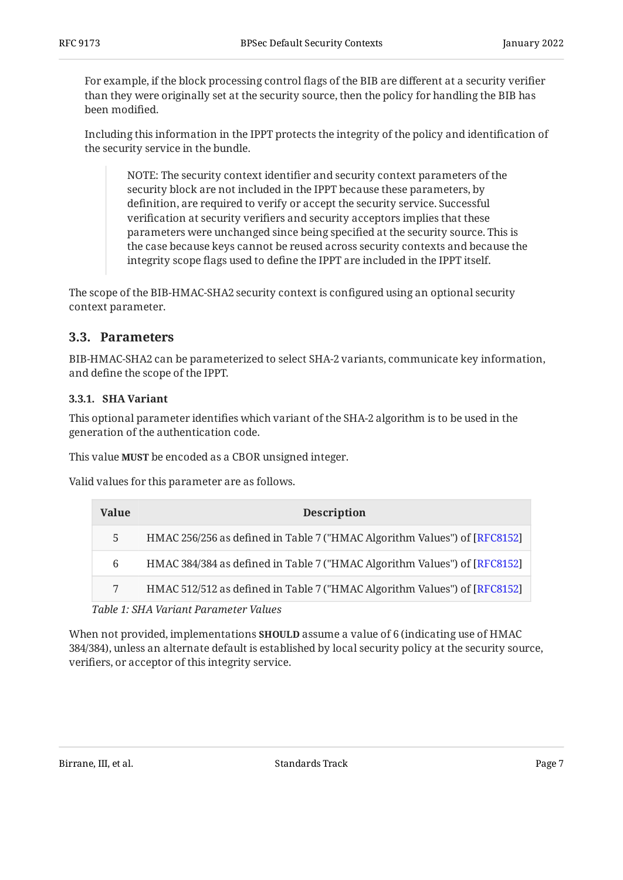For example, if the block processing control flags of the BIB are different at a security verifier than they were originally set at the security source, then the policy for handling the BIB has been modified.

Including this information in the IPPT protects the integrity of the policy and identification of the security service in the bundle.

NOTE: The security context identifier and security context parameters of the security block are not included in the IPPT because these parameters, by definition, are required to verify or accept the security service. Successful verification at security verifiers and security acceptors implies that these parameters were unchanged since being specified at the security source. This is the case because keys cannot be reused across security contexts and because the integrity scope flags used to define the IPPT are included in the IPPT itself.

The scope of the BIB-HMAC-SHA2 security context is configured using an optional security context parameter.

## <span id="page-6-0"></span>**[3.3. Parameters](#page-6-0)**

BIB-HMAC-SHA2 can be parameterized to select SHA-2 variants, communicate key information, and define the scope of the IPPT.

#### <span id="page-6-1"></span>**[3.3.1. SHA Variant](#page-6-1)**

This optional parameter identifies which variant of the SHA-2 algorithm is to be used in the generation of the authentication code.

This value **MUST** be encoded as a CBOR unsigned integer.

<span id="page-6-3"></span>Valid values for this parameter are as follows.

<span id="page-6-2"></span>

| <b>Value</b> | <b>Description</b>                                                        |
|--------------|---------------------------------------------------------------------------|
| 5            | HMAC 256/256 as defined in Table 7 ("HMAC Algorithm Values") of [RFC8152] |
| 6            | HMAC 384/384 as defined in Table 7 ("HMAC Algorithm Values") of [RFC8152] |
|              | HMAC 512/512 as defined in Table 7 ("HMAC Algorithm Values") of [RFC8152] |
|              |                                                                           |

*[Table 1:](#page-6-2) [SHA Variant Parameter Values](#page-6-3)* 

When not provided, implementations **SHOULD** assume a value of 6 (indicating use of HMAC 384/384), unless an alternate default is established by local security policy at the security source, verifiers, or acceptor of this integrity service.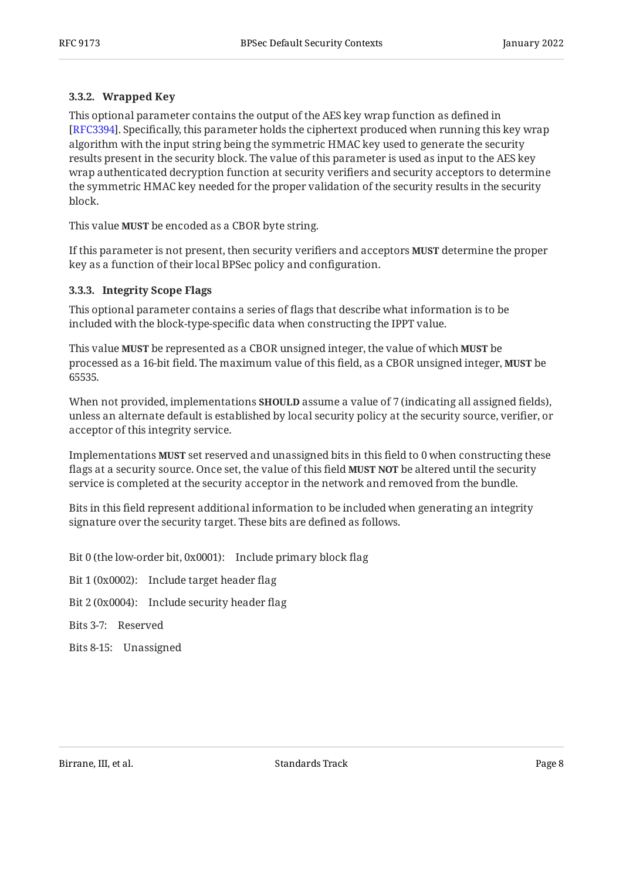## <span id="page-7-0"></span>**[3.3.2. Wrapped Key](#page-7-0)**

This optional parameter contains the output of the AES key wrap function as defined in [[RFC3394\]](#page-27-8). Specifically, this parameter holds the ciphertext produced when running this key wrap algorithm with the input string being the symmetric HMAC key used to generate the security results present in the security block. The value of this parameter is used as input to the AES key wrap authenticated decryption function at security verifiers and security acceptors to determine the symmetric HMAC key needed for the proper validation of the security results in the security block.

This value **MUST** be encoded as a CBOR byte string.

If this parameter is not present, then security verifiers and acceptors **MUST** determine the proper key as a function of their local BPSec policy and configuration.

#### <span id="page-7-1"></span>**[3.3.3. Integrity Scope Flags](#page-7-1)**

This optional parameter contains a series of flags that describe what information is to be included with the block-type-specific data when constructing the IPPT value.

This value **MUST** be represented as a CBOR unsigned integer, the value of which **MUST** be processed as a 16-bit field. The maximum value of this field, as a CBOR unsigned integer, **MUST** be 65535.

When not provided, implementations **SHOULD** assume a value of 7 (indicating all assigned fields), unless an alternate default is established by local security policy at the security source, verifier, or acceptor of this integrity service.

Implementations **MUST** set reserved and unassigned bits in this field to 0 when constructing these flags at a security source. Once set, the value of this field **MUST NOT** be altered until the security service is completed at the security acceptor in the network and removed from the bundle.

Bits in this field represent additional information to be included when generating an integrity signature over the security target. These bits are defined as follows.

Bit 0 (the low-order bit, 0x0001): Include primary block flag

Bit 1 (0x0002): Include target header flag

Bit 2 (0x0004): Include security header flag

Bits 3-7: Reserved

Bits 8-15: Unassigned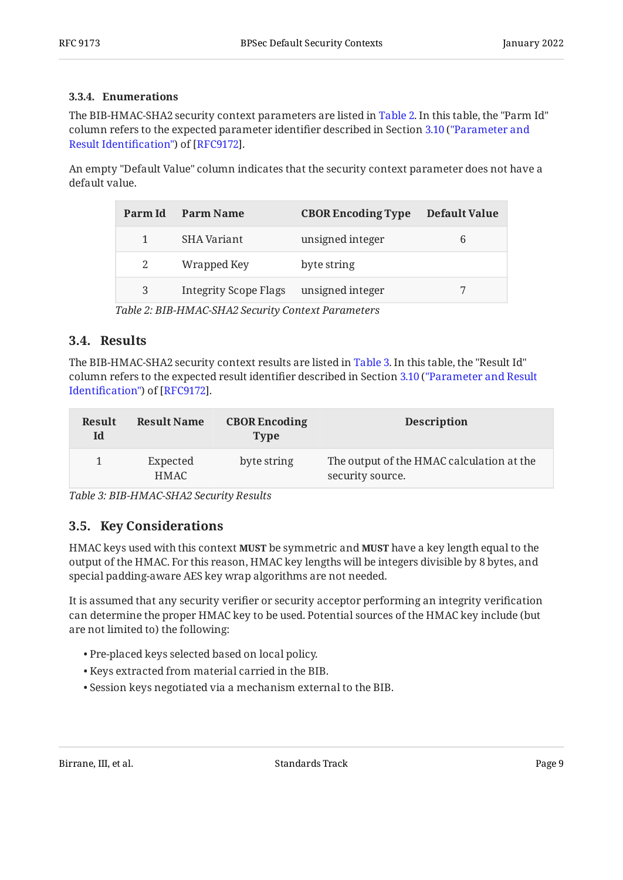## <span id="page-8-0"></span>**[3.3.4. Enumerations](#page-8-0)**

The BIB-HMAC-SHA2 security context parameters are listed in [Table 2.](#page-8-3) In this table, the "Parm Id" column refers to the expected parameter identifier described in Section [3.10](https://www.rfc-editor.org/rfc/rfc9172#section-3.10) [\("Parameter and](https://www.rfc-editor.org/rfc/rfc9172#section-3.10) [Result Identi](https://www.rfc-editor.org/rfc/rfc9172#section-3.10)fication") of [RFC9172].

<span id="page-8-3"></span>An empty "Default Value" column indicates that the security context parameter does not have a default value.

<span id="page-8-4"></span>

| Parm Id | <b>Parm Name</b>      | <b>CBOR Encoding Type</b> | Default Value |
|---------|-----------------------|---------------------------|---------------|
|         | <b>SHA Variant</b>    | unsigned integer          | 6             |
|         | Wrapped Key           | byte string               |               |
| 3       | Integrity Scope Flags | unsigned integer          |               |
|         |                       |                           |               |

*[Table 2](#page-8-4): [BIB-HMAC-SHA2 Security Context Parameters](#page-8-3)* 

## <span id="page-8-1"></span>**[3.4. Results](#page-8-1)**

The BIB-HMAC-SHA2 security context results are listed in [Table 3.](#page-8-5) In this table, the "Result Id" column refers to the expected result identifier described in Section [3.10](https://www.rfc-editor.org/rfc/rfc9172#section-3.10) [\("Parameter and Result](https://www.rfc-editor.org/rfc/rfc9172#section-3.10) Identifi[cation"\)](https://www.rfc-editor.org/rfc/rfc9172#section-3.10) of [RFC9172].

<span id="page-8-5"></span>

| <b>Result</b><br>Id | <b>Result Name</b> | <b>CBOR Encoding</b><br><b>Type</b> | <b>Description</b>                                            |
|---------------------|--------------------|-------------------------------------|---------------------------------------------------------------|
|                     | Expected<br>HMAC.  | byte string                         | The output of the HMAC calculation at the<br>security source. |

<span id="page-8-2"></span>*[Table 3: BIB-HMAC-SHA2 Security Results](#page-8-5)* 

## **[3.5. Key Considerations](#page-8-2)**

**HMAC keys used with this context MUST be symmetric and MUST have a key length equal to the** output of the HMAC. For this reason, HMAC key lengths will be integers divisible by 8 bytes, and special padding-aware AES key wrap algorithms are not needed.

It is assumed that any security verifier or security acceptor performing an integrity verification can determine the proper HMAC key to be used. Potential sources of the HMAC key include (but are not limited to) the following:

- Pre-placed keys selected based on local policy. •
- Keys extracted from material carried in the BIB. •
- Session keys negotiated via a mechanism external to the BIB. •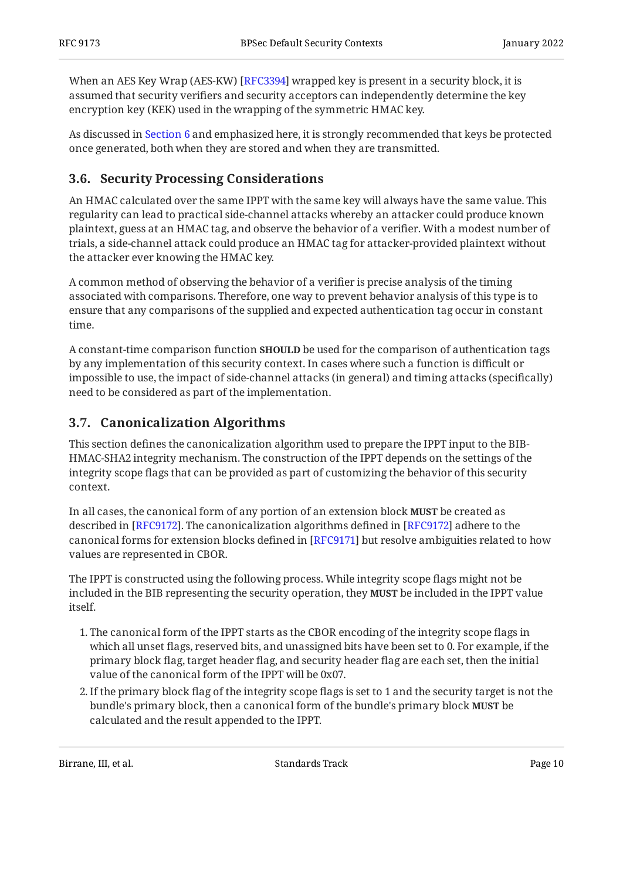When an AES Key Wrap (AES-KW) [RFC3394] wrapped key is present in a security block, it is assumed that security verifiers and security acceptors can independently determine the key encryption key (KEK) used in the wrapping of the symmetric HMAC key.

As discussed in [Section 6](#page-24-0) and emphasized here, it is strongly recommended that keys be protected once generated, both when they are stored and when they are transmitted.

## <span id="page-9-0"></span>**[3.6. Security Processing Considerations](#page-9-0)**

An HMAC calculated over the same IPPT with the same key will always have the same value. This regularity can lead to practical side-channel attacks whereby an attacker could produce known plaintext, guess at an HMAC tag, and observe the behavior of a verifier. With a modest number of trials, a side-channel attack could produce an HMAC tag for attacker-provided plaintext without the attacker ever knowing the HMAC key.

A common method of observing the behavior of a verifier is precise analysis of the timing associated with comparisons. Therefore, one way to prevent behavior analysis of this type is to ensure that any comparisons of the supplied and expected authentication tag occur in constant time.

A constant-time comparison function **SHOULD** be used for the comparison of authentication tags by any implementation of this security context. In cases where such a function is difficult or impossible to use, the impact of side-channel attacks (in general) and timing attacks (specifically) need to be considered as part of the implementation.

## <span id="page-9-1"></span>**[3.7. Canonicalization Algorithms](#page-9-1)**

This section defines the canonicalization algorithm used to prepare the IPPT input to the BIB-HMAC-SHA2 integrity mechanism. The construction of the IPPT depends on the settings of the integrity scope flags that can be provided as part of customizing the behavior of this security context.

In all cases, the canonical form of any portion of an extension block **MUST** be created as described in [RFC9172]. The canonicalization algorithms defined in [RFC9172] adhere to the canonical forms for extension blocks defined in [[RFC9171\]](#page-27-2) but resolve ambiguities related to how values are represented in CBOR.

The IPPT is constructed using the following process. While integrity scope flags might not be included in the BIB representing the security operation, they be included in the IPPT value **MUST** itself.

- 1. The canonical form of the IPPT starts as the CBOR encoding of the integrity scope flags in which all unset flags, reserved bits, and unassigned bits have been set to 0. For example, if the primary block flag, target header flag, and security header flag are each set, then the initial value of the canonical form of the IPPT will be 0x07.
- If the primary block flag of the integrity scope flags is set to 1 and the security target is not the 2. bundle's primary block, then a canonical form of the bundle's primary block **MUST** be calculated and the result appended to the IPPT.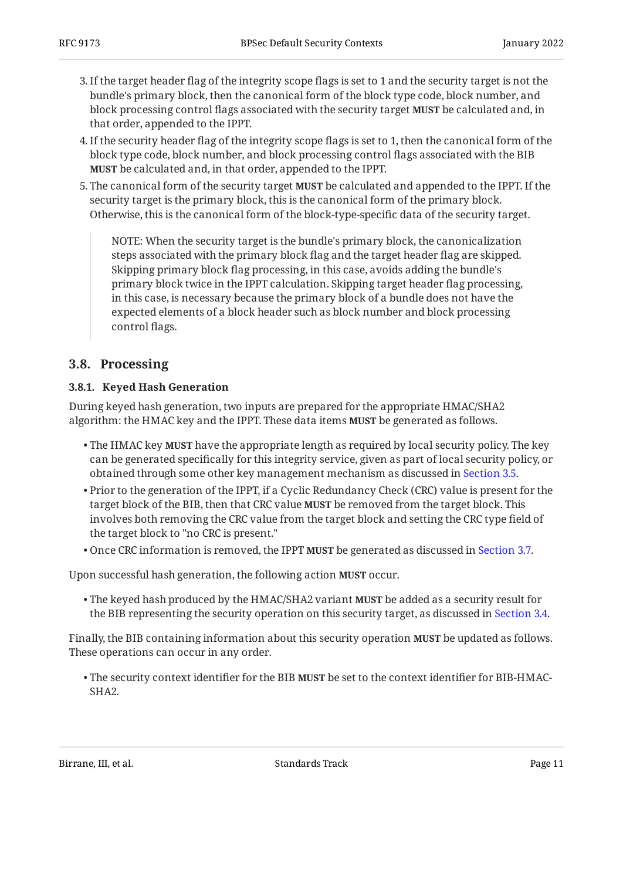- If the target header flag of the integrity scope flags is set to 1 and the security target is not the 3. bundle's primary block, then the canonical form of the block type code, block number, and block processing control flags associated with the security target **MUST** be calculated and, in that order, appended to the IPPT.
- If the security header flag of the integrity scope flags is set to 1, then the canonical form of the 4. block type code, block number, and block processing control flags associated with the BIB be calculated and, in that order, appended to the IPPT. **MUST**
- 5. The canonical form of the security target **MUST** be calculated and appended to the IPPT. If the security target is the primary block, this is the canonical form of the primary block. Otherwise, this is the canonical form of the block-type-specific data of the security target.

NOTE: When the security target is the bundle's primary block, the canonicalization steps associated with the primary block flag and the target header flag are skipped. Skipping primary block flag processing, in this case, avoids adding the bundle's primary block twice in the IPPT calculation. Skipping target header flag processing, in this case, is necessary because the primary block of a bundle does not have the expected elements of a block header such as block number and block processing control flags.

## <span id="page-10-1"></span><span id="page-10-0"></span>**[3.8. Processing](#page-10-0)**

## **[3.8.1. Keyed Hash Generation](#page-10-1)**

During keyed hash generation, two inputs are prepared for the appropriate HMAC/SHA2 algorithm: the HMAC key and the IPPT. These data items **MUST** be generated as follows.

- $\bullet$  The HMAC key **MUST** have the appropriate length as required by local security policy. The key can be generated specifically for this integrity service, given as part of local security policy, or obtained through some other key management mechanism as discussed in [Section 3.5](#page-8-2).
- $\bullet$  Prior to the generation of the IPPT, if a Cyclic Redundancy Check (CRC) value is present for the target block of the BIB, then that CRC value **MUST** be removed from the target block. This involves both removing the CRC value from the target block and setting the CRC type field of the target block to "no CRC is present."
- Once CRC information is removed, the IPPT **MUST** be generated as discussed in [Section 3.7](#page-9-1).

Upon successful hash generation, the following action MUST occur.

 $\bullet$  The keyed hash produced by the HMAC/SHA2 variant **MUST** be added as a security result for the BIB representing the security operation on this security target, as discussed in [Section 3.4](#page-8-1).

Finally, the BIB containing information about this security operation **MUST** be updated as follows. These operations can occur in any order.

• The security context identifier for the BIB **MUST** be set to the context identifier for BIB-HMAC-SHA2.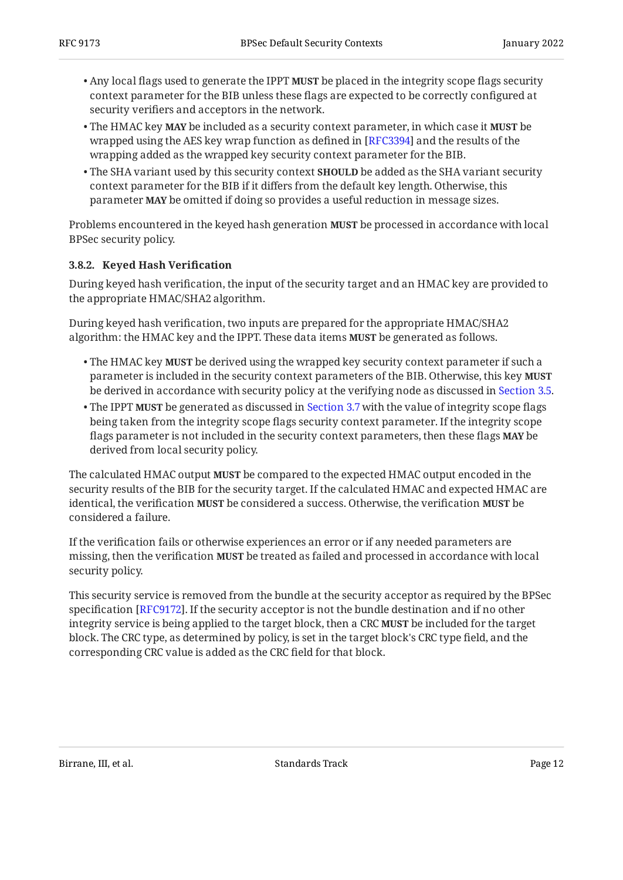- Any local flags used to generate the IPPT **MUST** be placed in the integrity scope flags security context parameter for the BIB unless these flags are expected to be correctly configured at security verifiers and acceptors in the network.
- The HMAC key **MAY** be included as a security context parameter, in which case it **MUST** be wrapped using the AES key wrap function as defined in [RFC3394] and the results of the wrapping added as the wrapped key security context parameter for the BIB.
- The SHA variant used by this security context **SHOULD** be added as the SHA variant security context parameter for the BIB if it differs from the default key length. Otherwise, this parameter **MAY** be omitted if doing so provides a useful reduction in message sizes.

Problems encountered in the keyed hash generation **MUST** be processed in accordance with local BPSec security policy.

## <span id="page-11-0"></span>**[3.8.2. Keyed Hash Veri](#page-11-0)fication**

During keyed hash verification, the input of the security target and an HMAC key are provided to the appropriate HMAC/SHA2 algorithm.

During keyed hash verification, two inputs are prepared for the appropriate HMAC/SHA2 algorithm: the HMAC key and the IPPT. These data items **MUST** be generated as follows.

- $\bullet$  The HMAC key **MUST** be derived using the wrapped key security context parameter if such a parameter is included in the security context parameters of the BIB. Otherwise, this key **MUST** be derived in accordance with security policy at the verifying node as discussed in [Section 3.5.](#page-8-2)
- $\bullet$  The IPPT **MUST** be generated as discussed in [Section 3.7](#page-9-1) with the value of integrity scope flags being taken from the integrity scope flags security context parameter. If the integrity scope flags parameter is not included in the security context parameters, then these flags **MAY** be derived from local security policy.

The calculated HMAC output **MUST** be compared to the expected HMAC output encoded in the security results of the BIB for the security target. If the calculated HMAC and expected HMAC are identical, the verification MUST be considered a success. Otherwise, the verification MUST be considered a failure.

If the verification fails or otherwise experiences an error or if any needed parameters are missing, then the verification **MUST** be treated as failed and processed in accordance with local security policy.

This security service is removed from the bundle at the security acceptor as required by the BPSec specification [RFC9172]. If the security acceptor is not the bundle destination and if no other integrity service is being applied to the target block, then a CRC **MUST** be included for the target block. The CRC type, as determined by policy, is set in the target block's CRC type field, and the corresponding CRC value is added as the CRC field for that block.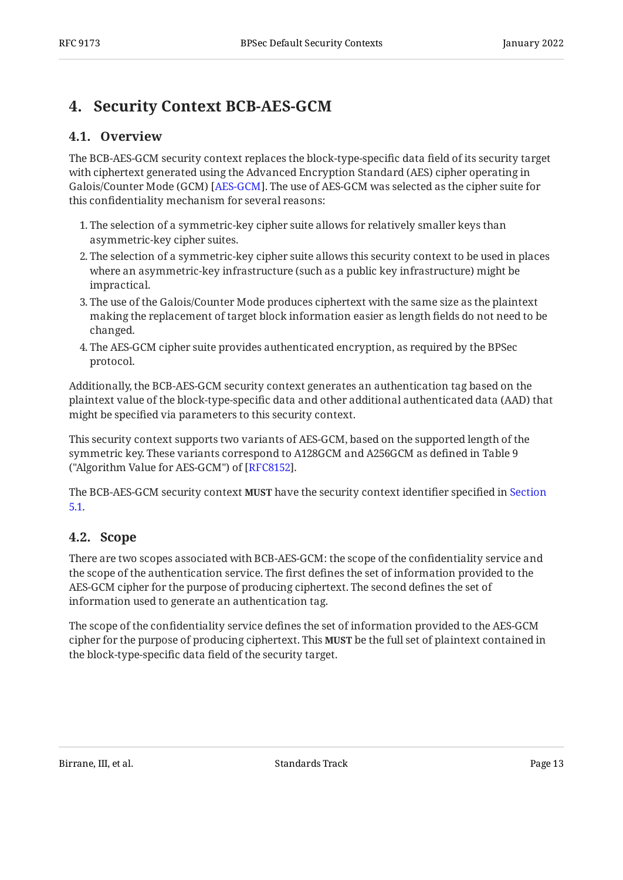# <span id="page-12-1"></span><span id="page-12-0"></span>**[4. Security Context BCB-AES-GCM](#page-12-0)**

## **[4.1. Overview](#page-12-1)**

The BCB-AES-GCM security context replaces the block-type-specific data field of its security target with ciphertext generated using the Advanced Encryption Standard (AES) cipher operating in Galois/Counter Mode (GCM) [\[AES-GCM](#page-26-4)]. The use of AES-GCM was selected as the cipher suite for this confidentiality mechanism for several reasons:

- The selection of a symmetric-key cipher suite allows for relatively smaller keys than 1. asymmetric-key cipher suites.
- The selection of a symmetric-key cipher suite allows this security context to be used in places 2. where an asymmetric-key infrastructure (such as a public key infrastructure) might be impractical.
- The use of the Galois/Counter Mode produces ciphertext with the same size as the plaintext 3. making the replacement of target block information easier as length fields do not need to be changed.
- The AES-GCM cipher suite provides authenticated encryption, as required by the BPSec 4. protocol.

Additionally, the BCB-AES-GCM security context generates an authentication tag based on the plaintext value of the block-type-specific data and other additional authenticated data (AAD) that might be specified via parameters to this security context.

This security context supports two variants of AES-GCM, based on the supported length of the symmetric key. These variants correspond to A128GCM and A256GCM as defined in Table 9 ("Algorithm Value for AES-GCM") of [[RFC8152\]](#page-27-7).

The BCB-AES-GCM security context **MUST** have the security context identifier specified in [Section](#page-22-1) [5.1.](#page-22-1)

## <span id="page-12-2"></span>**[4.2. Scope](#page-12-2)**

There are two scopes associated with BCB-AES-GCM: the scope of the confidentiality service and the scope of the authentication service. The first defines the set of information provided to the AES-GCM cipher for the purpose of producing ciphertext. The second defines the set of information used to generate an authentication tag.

The scope of the confidentiality service defines the set of information provided to the AES-GCM cipher for the purpose of producing ciphertext. This **MUST** be the full set of plaintext contained in the block-type-specific data field of the security target.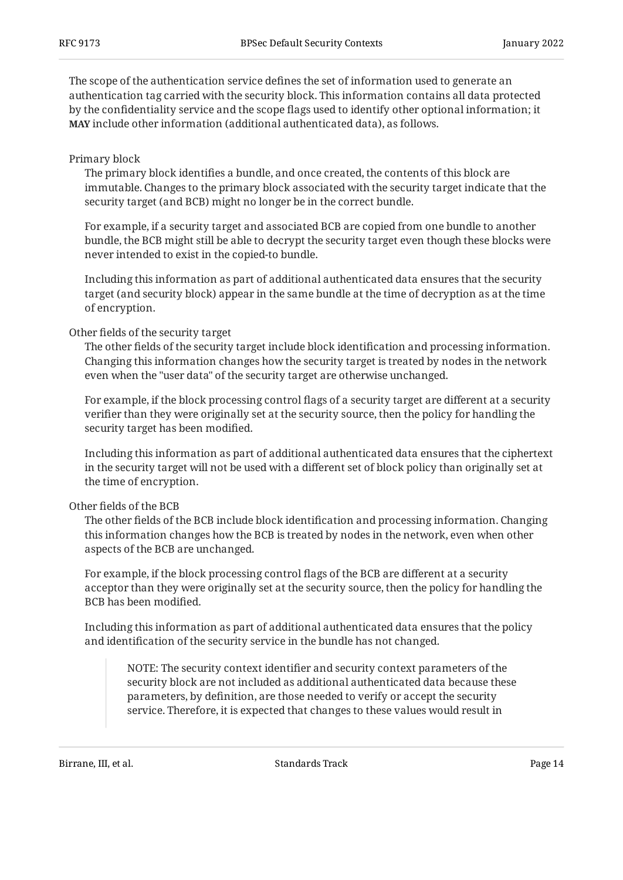The scope of the authentication service defines the set of information used to generate an authentication tag carried with the security block. This information contains all data protected by the confidentiality service and the scope flags used to identify other optional information; it **MAY** include other information (additional authenticated data), as follows.

#### Primary block

The primary block identifies a bundle, and once created, the contents of this block are immutable. Changes to the primary block associated with the security target indicate that the security target (and BCB) might no longer be in the correct bundle.

For example, if a security target and associated BCB are copied from one bundle to another bundle, the BCB might still be able to decrypt the security target even though these blocks were never intended to exist in the copied-to bundle.

Including this information as part of additional authenticated data ensures that the security target (and security block) appear in the same bundle at the time of decryption as at the time of encryption.

#### Other fields of the security target

The other fields of the security target include block identification and processing information. Changing this information changes how the security target is treated by nodes in the network even when the "user data" of the security target are otherwise unchanged.

For example, if the block processing control flags of a security target are different at a security verifier than they were originally set at the security source, then the policy for handling the security target has been modified.

Including this information as part of additional authenticated data ensures that the ciphertext in the security target will not be used with a different set of block policy than originally set at the time of encryption.

## Other fields of the BCB

The other fields of the BCB include block identification and processing information. Changing this information changes how the BCB is treated by nodes in the network, even when other aspects of the BCB are unchanged.

For example, if the block processing control flags of the BCB are different at a security acceptor than they were originally set at the security source, then the policy for handling the BCB has been modified.

Including this information as part of additional authenticated data ensures that the policy and identification of the security service in the bundle has not changed.

NOTE: The security context identifier and security context parameters of the security block are not included as additional authenticated data because these parameters, by definition, are those needed to verify or accept the security service. Therefore, it is expected that changes to these values would result in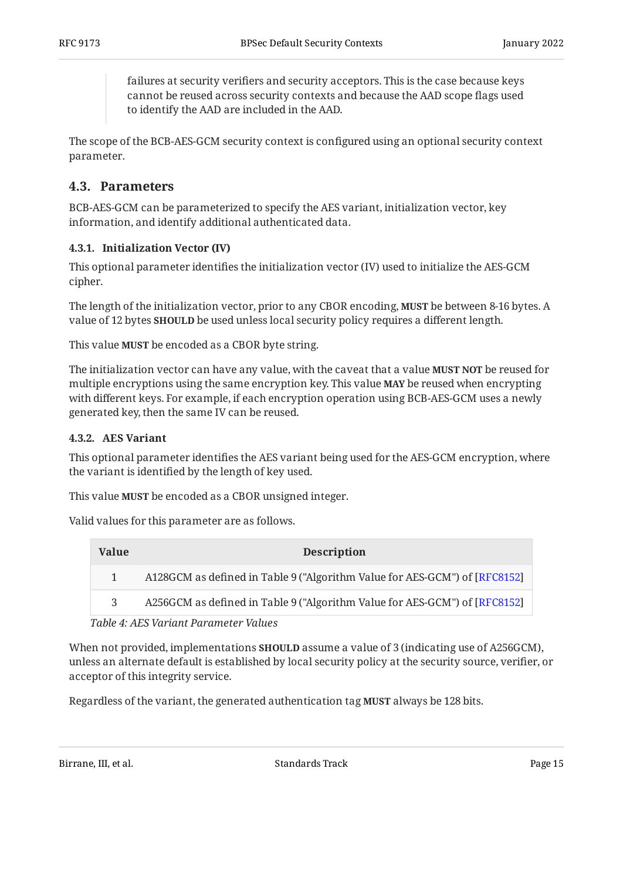failures at security verifiers and security acceptors. This is the case because keys cannot be reused across security contexts and because the AAD scope flags used to identify the AAD are included in the AAD.

The scope of the BCB-AES-GCM security context is configured using an optional security context parameter.

## <span id="page-14-0"></span>**[4.3. Parameters](#page-14-0)**

BCB-AES-GCM can be parameterized to specify the AES variant, initialization vector, key information, and identify additional authenticated data.

#### <span id="page-14-1"></span>**[4.3.1. Initialization Vector \(IV\)](#page-14-1)**

This optional parameter identifies the initialization vector (IV) used to initialize the AES-GCM cipher.

The length of the initialization vector, prior to any CBOR encoding, **MUST** be between 8-16 bytes. A value of 12 bytes **SHOULD** be used unless local security policy requires a different length.

This value **MUST** be encoded as a CBOR byte string.

The initialization vector can have any value, with the caveat that a value **MUST NOT** be reused for multiple encryptions using the same encryption key. This value **MAY** be reused when encrypting with different keys. For example, if each encryption operation using BCB-AES-GCM uses a newly generated key, then the same IV can be reused.

#### <span id="page-14-2"></span>**[4.3.2. AES Variant](#page-14-2)**

This optional parameter identifies the AES variant being used for the AES-GCM encryption, where the variant is identified by the length of key used.

This value **MUST** be encoded as a CBOR unsigned integer.

Valid values for this parameter are as follows.

<span id="page-14-4"></span><span id="page-14-3"></span>

| Value        | <b>Description</b>                                                         |
|--------------|----------------------------------------------------------------------------|
| $\mathbf{1}$ | A128GCM as defined in Table 9 ("Algorithm Value for AES-GCM") of [RFC8152] |
| २            | A256GCM as defined in Table 9 ("Algorithm Value for AES-GCM") of [RFC8152] |

*[Table 4](#page-14-3): [AES Variant Parameter Values](#page-14-4)* 

When not provided, implementations **SHOULD** assume a value of 3 (indicating use of A256GCM), unless an alternate default is established by local security policy at the security source, verifier, or acceptor of this integrity service.

Regardless of the variant, the generated authentication tag **MUST** always be 128 bits.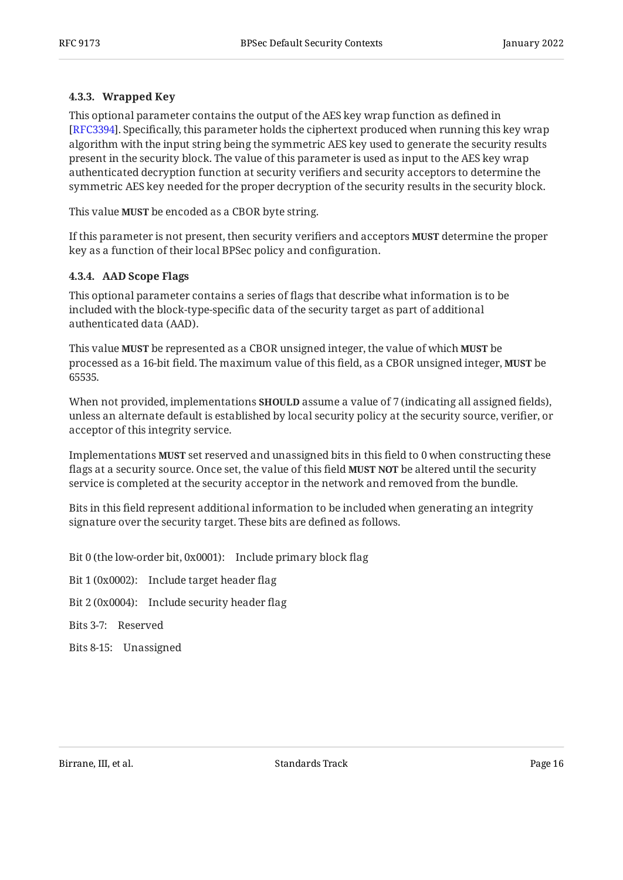## <span id="page-15-0"></span>**[4.3.3. Wrapped Key](#page-15-0)**

This optional parameter contains the output of the AES key wrap function as defined in [[RFC3394\]](#page-27-8). Specifically, this parameter holds the ciphertext produced when running this key wrap algorithm with the input string being the symmetric AES key used to generate the security results present in the security block. The value of this parameter is used as input to the AES key wrap authenticated decryption function at security verifiers and security acceptors to determine the symmetric AES key needed for the proper decryption of the security results in the security block.

This value **MUST** be encoded as a CBOR byte string.

If this parameter is not present, then security verifiers and acceptors **MUST** determine the proper key as a function of their local BPSec policy and configuration.

## <span id="page-15-1"></span>**[4.3.4. AAD Scope Flags](#page-15-1)**

This optional parameter contains a series of flags that describe what information is to be included with the block-type-specific data of the security target as part of additional authenticated data (AAD).

This value **MUST** be represented as a CBOR unsigned integer, the value of which **MUST** be processed as a 16-bit field. The maximum value of this field, as a CBOR unsigned integer, **MUST** be 65535.

When not provided, implementations **SHOULD** assume a value of 7 (indicating all assigned fields), unless an alternate default is established by local security policy at the security source, verifier, or acceptor of this integrity service.

Implementations **MUST** set reserved and unassigned bits in this field to 0 when constructing these flags at a security source. Once set, the value of this field **MUST NOT** be altered until the security service is completed at the security acceptor in the network and removed from the bundle.

Bits in this field represent additional information to be included when generating an integrity signature over the security target. These bits are defined as follows.

Bit 0 (the low-order bit, 0x0001): Include primary block flag

Bit 1 (0x0002): Include target header flag

Bit 2 (0x0004): Include security header flag

Bits 3-7: Reserved

Bits 8-15: Unassigned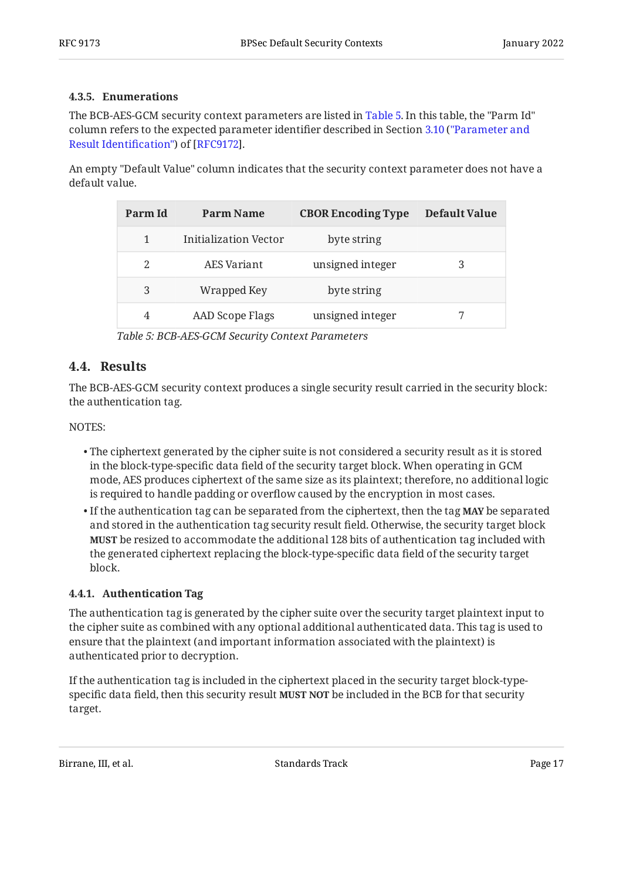## <span id="page-16-0"></span>**[4.3.5. Enumerations](#page-16-0)**

The BCB-AES-GCM security context parameters are listed in [Table 5](#page-16-3). In this table, the "Parm Id" column refers to the expected parameter identifier described in Section [3.10](https://www.rfc-editor.org/rfc/rfc9172#section-3.10) [\("Parameter and](https://www.rfc-editor.org/rfc/rfc9172#section-3.10) [Result Identi](https://www.rfc-editor.org/rfc/rfc9172#section-3.10)fication") of [RFC9172].

<span id="page-16-3"></span>An empty "Default Value" column indicates that the security context parameter does not have a default value.

<span id="page-16-4"></span>

| Parm Id | Parm Name             | <b>CBOR Encoding Type</b> | Default Value |
|---------|-----------------------|---------------------------|---------------|
|         | Initialization Vector | byte string               |               |
| 2       | AES Variant           | unsigned integer          | 3             |
| 3       | Wrapped Key           | byte string               |               |
| 4       | AAD Scope Flags       | unsigned integer          |               |

*[Table 5:](#page-16-4) [BCB-AES-GCM Security Context Parameters](#page-16-3)* 

## <span id="page-16-1"></span>**[4.4. Results](#page-16-1)**

The BCB-AES-GCM security context produces a single security result carried in the security block: the authentication tag.

#### NOTES:

- $\bullet$  The ciphertext generated by the cipher suite is not considered a security result as it is stored in the block-type-specific data field of the security target block. When operating in GCM mode, AES produces ciphertext of the same size as its plaintext; therefore, no additional logic is required to handle padding or overflow caused by the encryption in most cases.
- $\bullet$  If the authentication tag can be separated from the ciphertext, then the tag **MAY** be separated and stored in the authentication tag security result field. Otherwise, the security target block be resized to accommodate the additional 128 bits of authentication tag included with **MUST** the generated ciphertext replacing the block-type-specific data field of the security target block.

## <span id="page-16-2"></span>**[4.4.1. Authentication Tag](#page-16-2)**

The authentication tag is generated by the cipher suite over the security target plaintext input to the cipher suite as combined with any optional additional authenticated data. This tag is used to ensure that the plaintext (and important information associated with the plaintext) is authenticated prior to decryption.

If the authentication tag is included in the ciphertext placed in the security target block-typespecific data field, then this security result **MUST NOT** be included in the BCB for that security target.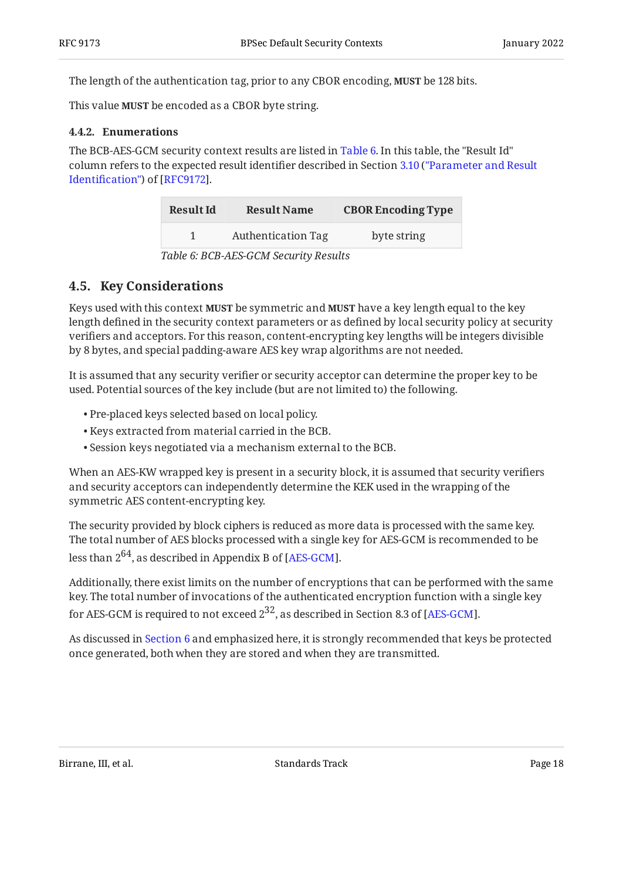The length of the authentication tag, prior to any CBOR encoding, **MUST** be 128 bits.

<span id="page-17-0"></span>This value **MUST** be encoded as a CBOR byte string.

#### **[4.4.2. Enumerations](#page-17-0)**

<span id="page-17-2"></span>The BCB-AES-GCM security context results are listed in [Table 6](#page-17-2). In this table, the "Result Id" column refers to the expected result identifier described in Section [3.10](https://www.rfc-editor.org/rfc/rfc9172#section-3.10) [\("Parameter and Result](https://www.rfc-editor.org/rfc/rfc9172#section-3.10) Identifi[cation"\)](https://www.rfc-editor.org/rfc/rfc9172#section-3.10) of [RFC9172].

<span id="page-17-3"></span>

| <b>Result Id</b> | <b>Result Name</b>        | <b>CBOR Encoding Type</b> |
|------------------|---------------------------|---------------------------|
|                  | <b>Authentication Tag</b> | byte string               |
|                  | T11.0001000100            |                           |

*[Table 6:](#page-17-3) [BCB-AES-GCM Security Results](#page-17-2)* 

## <span id="page-17-1"></span>**[4.5. Key Considerations](#page-17-1)**

Keys used with this context **MUST** be symmetric and **MUST** have a key length equal to the key length defined in the security context parameters or as defined by local security policy at security verifiers and acceptors. For this reason, content-encrypting key lengths will be integers divisible by 8 bytes, and special padding-aware AES key wrap algorithms are not needed.

It is assumed that any security verifier or security acceptor can determine the proper key to be used. Potential sources of the key include (but are not limited to) the following.

- Pre-placed keys selected based on local policy. •
- Keys extracted from material carried in the BCB. •
- Session keys negotiated via a mechanism external to the BCB. •

When an AES-KW wrapped key is present in a security block, it is assumed that security verifiers and security acceptors can independently determine the KEK used in the wrapping of the symmetric AES content-encrypting key.

The security provided by block ciphers is reduced as more data is processed with the same key. The total number of AES blocks processed with a single key for AES-GCM is recommended to be less than  $2^{64}$ , as described in Appendix B of [AES-GCM].

Additionally, there exist limits on the number of encryptions that can be performed with the same key. The total number of invocations of the authenticated encryption function with a single key for AES-GCM is required to not exceed  $2^{32}$ , as described in Section 8.3 of [AES-GCM].

As discussed in [Section 6](#page-24-0) and emphasized here, it is strongly recommended that keys be protected once generated, both when they are stored and when they are transmitted.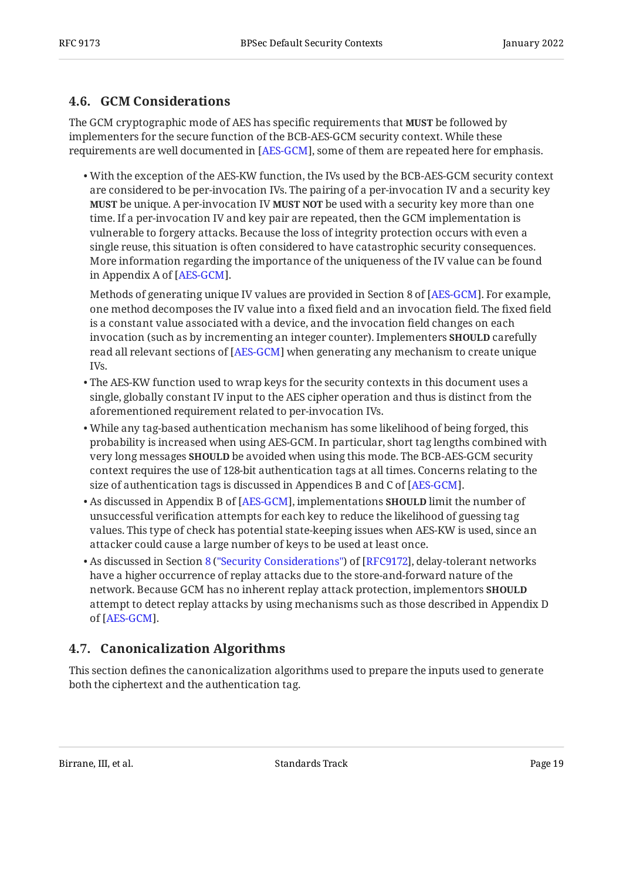## <span id="page-18-0"></span>**[4.6. GCM Considerations](#page-18-0)**

The GCM cryptographic mode of AES has specific requirements that **MUST** be followed by implementers for the secure function of the BCB-AES-GCM security context. While these requirements are well documented in [AES-GCM], some of them are repeated here for emphasis.

With the exception of the AES-KW function, the IVs used by the BCB-AES-GCM security context • are considered to be per-invocation IVs. The pairing of a per-invocation IV and a security key **MUST** be unique. A per-invocation IV **MUST NOT** be used with a security key more than one time. If a per-invocation IV and key pair are repeated, then the GCM implementation is vulnerable to forgery attacks. Because the loss of integrity protection occurs with even a single reuse, this situation is often considered to have catastrophic security consequences. More information regarding the importance of the uniqueness of the IV value can be found in Appendix A of [AES-GCM].

Methods of generating unique IV values are provided in Section 8 of [AES-GCM]. For example, one method decomposes the IV value into a fixed field and an invocation field. The fixed field is a constant value associated with a device, and the invocation field changes on each invocation (such as by incrementing an integer counter). Implementers **SHOULD** carefully read all relevant sections of [AES-GCM] when generating any mechanism to create unique IVs.

- $\bullet$  The AES-KW function used to wrap keys for the security contexts in this document uses a single, globally constant IV input to the AES cipher operation and thus is distinct from the aforementioned requirement related to per-invocation IVs.
- While any tag-based authentication mechanism has some likelihood of being forged, this probability is increased when using AES-GCM. In particular, short tag lengths combined with very long messages **SHOULD** be avoided when using this mode. The BCB-AES-GCM security context requires the use of 128-bit authentication tags at all times. Concerns relating to the size of authentication tags is discussed in Appendices B and C of [AES-GCM].  $\,$
- $\bullet$  As discussed in Appendix B of [AES-GCM], implementations <code>SHOULD</code> limit the number of unsuccessful verification attempts for each key to reduce the likelihood of guessing tag values. This type of check has potential state-keeping issues when AES-KW is used, since an attacker could cause a large number of keys to be used at least once.
- •As discussed in Section 8 ("Security Considerations") of [RFC9172], delay-tolerant networks have a higher occurrence of replay attacks due to the store-and-forward nature of the network. Because GCM has no inherent replay attack protection, implementors **SHOULD** attempt to detect replay attacks by using mechanisms such as those described in Appendix D of [AES-GCM].

## <span id="page-18-1"></span>**[4.7. Canonicalization Algorithms](#page-18-1)**

This section defines the canonicalization algorithms used to prepare the inputs used to generate both the ciphertext and the authentication tag.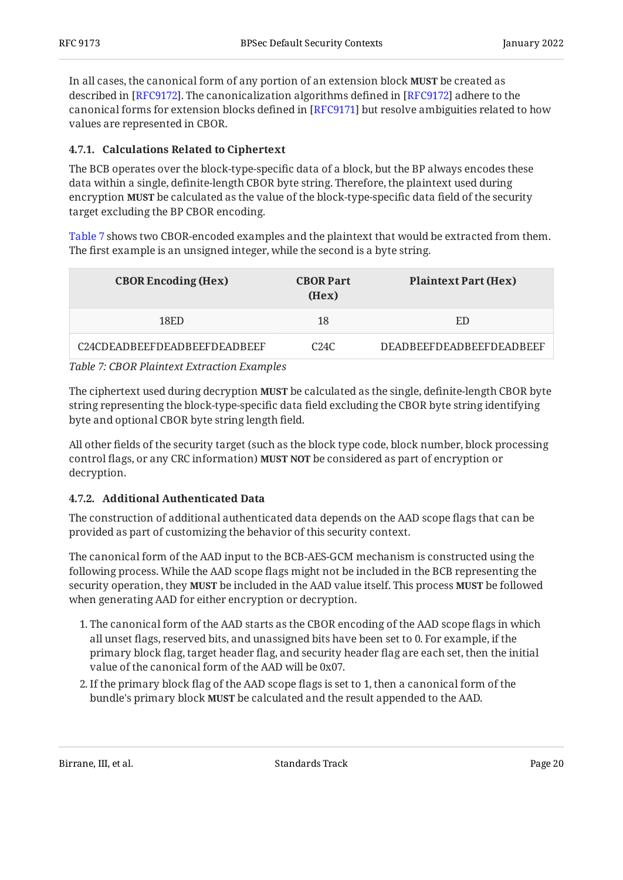In all cases, the canonical form of any portion of an extension block **MUST** be created as described in [RFC9172]. The canonicalization algorithms defined in [RFC9172] adhere to the canonical forms for extension blocks defined in [RFC9171] but resolve ambiguities related to how values are represented in CBOR.

## <span id="page-19-0"></span>**[4.7.1. Calculations Related to Ciphertext](#page-19-0)**

The BCB operates over the block-type-specific data of a block, but the BP always encodes these data within a single, definite-length CBOR byte string. Therefore, the plaintext used during encryption **MUST** be calculated as the value of the block-type-specific data field of the security target excluding the BP CBOR encoding.

[Table 7](#page-19-2) shows two CBOR-encoded examples and the plaintext that would be extracted from them. The first example is an unsigned integer, while the second is a byte string.

<span id="page-19-2"></span>

| <b>CBOR Encoding (Hex)</b>   | <b>CBOR Part</b><br>(Hex) | <b>Plaintext Part (Hex)</b>     |
|------------------------------|---------------------------|---------------------------------|
| 18ED                         | 18                        | ED                              |
| C24CDEADBEEFDEADBEEFDEADBEEF | C24C                      | <b>DEADBEEFDEADBEEFDEADBEEF</b> |
| _ _ _ _ _ . _ _ _ _ . _ _    |                           |                                 |

*[Table 7: CBOR Plaintext Extraction Examples](#page-19-2)* 

The ciphertext used during decryption **MUST** be calculated as the single, definite-length CBOR byte string representing the block-type-specific data field excluding the CBOR byte string identifying byte and optional CBOR byte string length field.

All other fields of the security target (such as the block type code, block number, block processing control flags, or any CRC information) **MUST NOT** be considered as part of encryption or decryption.

## <span id="page-19-1"></span>**[4.7.2. Additional Authenticated Data](#page-19-1)**

The construction of additional authenticated data depends on the AAD scope flags that can be provided as part of customizing the behavior of this security context.

The canonical form of the AAD input to the BCB-AES-GCM mechanism is constructed using the following process. While the AAD scope flags might not be included in the BCB representing the security operation, they **MUST** be included in the AAD value itself. This process **MUST** be followed when generating AAD for either encryption or decryption.

- 1. The canonical form of the AAD starts as the CBOR encoding of the AAD scope flags in which all unset flags, reserved bits, and unassigned bits have been set to 0. For example, if the primary block flag, target header flag, and security header flag are each set, then the initial value of the canonical form of the AAD will be 0x07.
- If the primary block flag of the AAD scope flags is set to 1, then a canonical form of the 2. bundle's primary block **MUST** be calculated and the result appended to the AAD.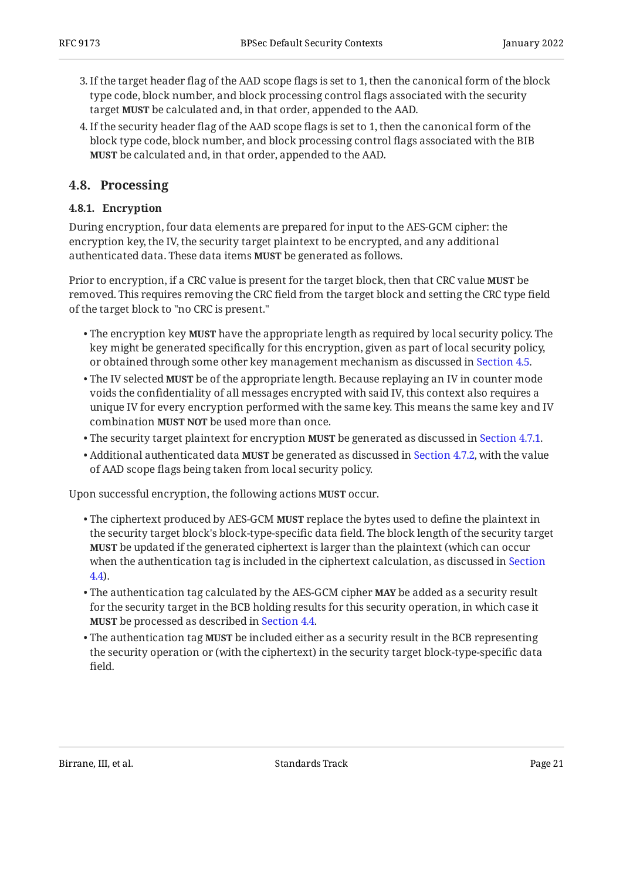- If the target header flag of the AAD scope flags is set to 1, then the canonical form of the block 3. type code, block number, and block processing control flags associated with the security target **MUST** be calculated and, in that order, appended to the AAD.
- If the security header flag of the AAD scope flags is set to 1, then the canonical form of the 4. block type code, block number, and block processing control flags associated with the BIB be calculated and, in that order, appended to the AAD. **MUST**

## <span id="page-20-1"></span><span id="page-20-0"></span>**[4.8. Processing](#page-20-0)**

## **[4.8.1. Encryption](#page-20-1)**

During encryption, four data elements are prepared for input to the AES-GCM cipher: the encryption key, the IV, the security target plaintext to be encrypted, and any additional authenticated data. These data items **MUST** be generated as follows.

Prior to encryption, if a CRC value is present for the target block, then that CRC value **MUST** be removed. This requires removing the CRC field from the target block and setting the CRC type field of the target block to "no CRC is present."

- The encryption key **MUST** have the appropriate length as required by local security policy. The key might be generated specifically for this encryption, given as part of local security policy, or obtained through some other key management mechanism as discussed in [Section 4.5.](#page-17-1)
- $\bullet$  The IV selected **MUST** be of the appropriate length. Because replaying an IV in counter mode voids the confidentiality of all messages encrypted with said IV, this context also requires a unique IV for every encryption performed with the same key. This means the same key and IV combination **MUST NOT** be used more than once.
- $\bullet$  The security target plaintext for encryption **MUST** be generated as discussed in [Section 4.7.1.](#page-19-0)
- Additional authenticated data **MUST** be generated as discussed in [Section 4.7.2,](#page-19-1) with the value of AAD scope flags being taken from local security policy.

Upon successful encryption, the following actions **MUST** occur.

- $\bullet$  The ciphertext produced by AES-GCM **MUST** replace the bytes used to define the plaintext in the security target block's block-type-specific data field. The block length of the security target **MUST** be updated if the generated ciphertext is larger than the plaintext (which can occur when the authentication tag is included in the ciphertext calculation, as discussed in [Section](#page-16-1) [4.4\)](#page-16-1).
- $\bullet$  The authentication tag calculated by the AES-GCM cipher **MAY** be added as a security result for the security target in the BCB holding results for this security operation, in which case it be processed as described in [Section 4.4](#page-16-1). **MUST**
- $\bullet$  The authentication tag MUST be included either as a security result in the BCB representing the security operation or (with the ciphertext) in the security target block-type-specific data field.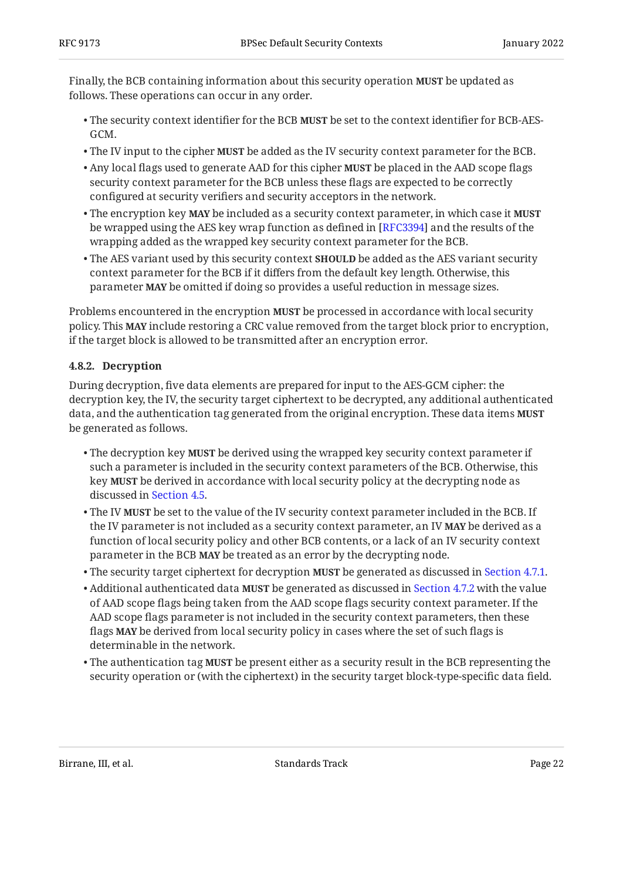Finally, the BCB containing information about this security operation **MUST** be updated as follows. These operations can occur in any order.

- The security context identifier for the BCB MUST be set to the context identifier for BCB-AES-GCM.
- The IV input to the cipher **MUST** be added as the IV security context parameter for the BCB.
- Any local flags used to generate AAD for this cipher **MUST** be placed in the AAD scope flags security context parameter for the BCB unless these flags are expected to be correctly configured at security verifiers and security acceptors in the network.
- $\bullet$  The encryption key MAY be included as a security context parameter, in which case it MUST be wrapped using the AES key wrap function as defined in [RFC3394] and the results of the wrapping added as the wrapped key security context parameter for the BCB.
- $\bullet$  The AES variant used by this security context  $\textbf{SHOULD}$  be added as the AES variant security context parameter for the BCB if it differs from the default key length. Otherwise, this parameter **MAY** be omitted if doing so provides a useful reduction in message sizes.

Problems encountered in the encryption **MUST** be processed in accordance with local security policy. This **MAY** include restoring a CRC value removed from the target block prior to encryption, if the target block is allowed to be transmitted after an encryption error.

## <span id="page-21-0"></span>**[4.8.2. Decryption](#page-21-0)**

During decryption, five data elements are prepared for input to the AES-GCM cipher: the decryption key, the IV, the security target ciphertext to be decrypted, any additional authenticated data, and the authentication tag generated from the original encryption. These data items **MUST** be generated as follows.

- $\bullet$  The decryption key **MUST** be derived using the wrapped key security context parameter if such a parameter is included in the security context parameters of the BCB. Otherwise, this key **MUST** be derived in accordance with local security policy at the decrypting node as discussed in [Section 4.5](#page-17-1).
- $\bullet$  The IV **MUST** be set to the value of the IV security context parameter included in the BCB. If the IV parameter is not included as a security context parameter, an IV **MAY** be derived as a function of local security policy and other BCB contents, or a lack of an IV security context parameter in the BCB **MAY** be treated as an error by the decrypting node.
- The security target ciphertext for decryption **MUST** be generated as discussed in [Section 4.7.1.](#page-19-0)
- Additional authenticated data **MUST** be generated as discussed in [Section 4.7.2](#page-19-1) with the value of AAD scope flags being taken from the AAD scope flags security context parameter. If the AAD scope flags parameter is not included in the security context parameters, then these flags **MAY** be derived from local security policy in cases where the set of such flags is determinable in the network.
- $\bullet$  The authentication tag **MUST** be present either as a security result in the BCB representing the security operation or (with the ciphertext) in the security target block-type-specific data field.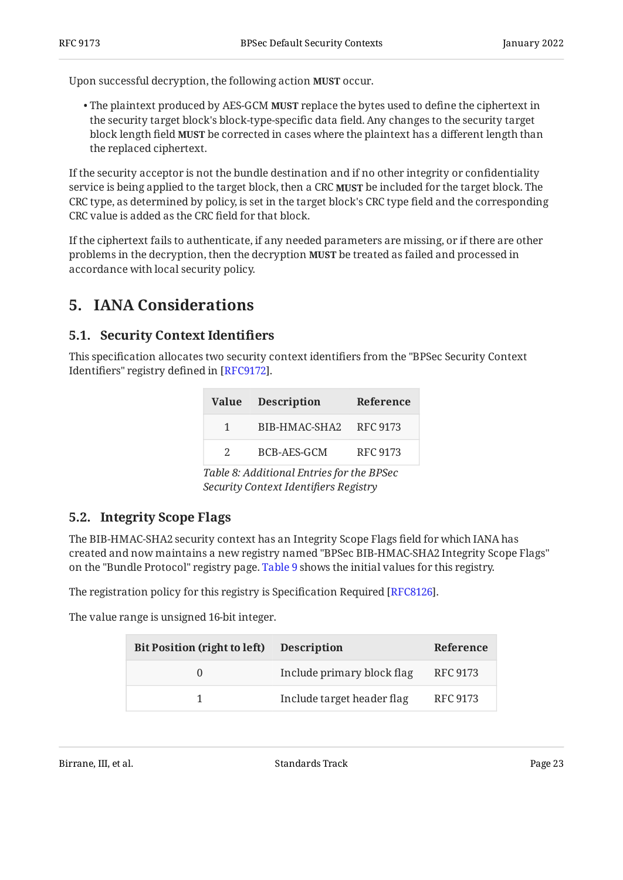Upon successful decryption, the following action **MUST** occur.

 $\bullet$  The plaintext produced by AES-GCM **MUST** replace the bytes used to define the ciphertext in the security target block's block-type-specific data field. Any changes to the security target block length field **MUST** be corrected in cases where the plaintext has a different length than the replaced ciphertext.

If the security acceptor is not the bundle destination and if no other integrity or confidentiality service is being applied to the target block, then a CRC be included for the target block. The **MUST** CRC type, as determined by policy, is set in the target block's CRC type field and the corresponding CRC value is added as the CRC field for that block.

If the ciphertext fails to authenticate, if any needed parameters are missing, or if there are other problems in the decryption, then the decryption **MUST** be treated as failed and processed in accordance with local security policy.

## <span id="page-22-1"></span><span id="page-22-0"></span>**[5. IANA Considerations](#page-22-0)**

## **[5.1. Security Context Identi](#page-22-1)fiers**

<span id="page-22-4"></span>This specification allocates two security context identifiers from the "BPSec Security Context Identifiers" registry defined in [\[RFC9172](#page-27-1)].

<span id="page-22-3"></span>

|               | <b>Value</b> Description | Reference |
|---------------|--------------------------|-----------|
|               | BIB-HMAC-SHA2 RFC 9173   |           |
| $\mathcal{P}$ | BCB-AES-GCM              | RFC 9173  |

*[Table 8](#page-22-3): [Additional Entries for the BPSec](#page-22-4) [Security Context Identi](#page-22-4)fiers Registry* 

## <span id="page-22-2"></span>**[5.2. Integrity Scope Flags](#page-22-2)**

The BIB-HMAC-SHA2 security context has an Integrity Scope Flags field for which IANA has created and now maintains a new registry named "BPSec BIB-HMAC-SHA2 Integrity Scope Flags" on the "Bundle Protocol" registry page. [Table 9](#page-22-5) shows the initial values for this registry.

The registration policy for this registry is Specification Required [RFC8126].

<span id="page-22-5"></span>The value range is unsigned 16-bit integer.

<span id="page-22-6"></span>

| <b>Bit Position (right to left)</b> | <b>Description</b>         | Reference |
|-------------------------------------|----------------------------|-----------|
|                                     | Include primary block flag | RFC 9173  |
|                                     | Include target header flag | RFC 9173  |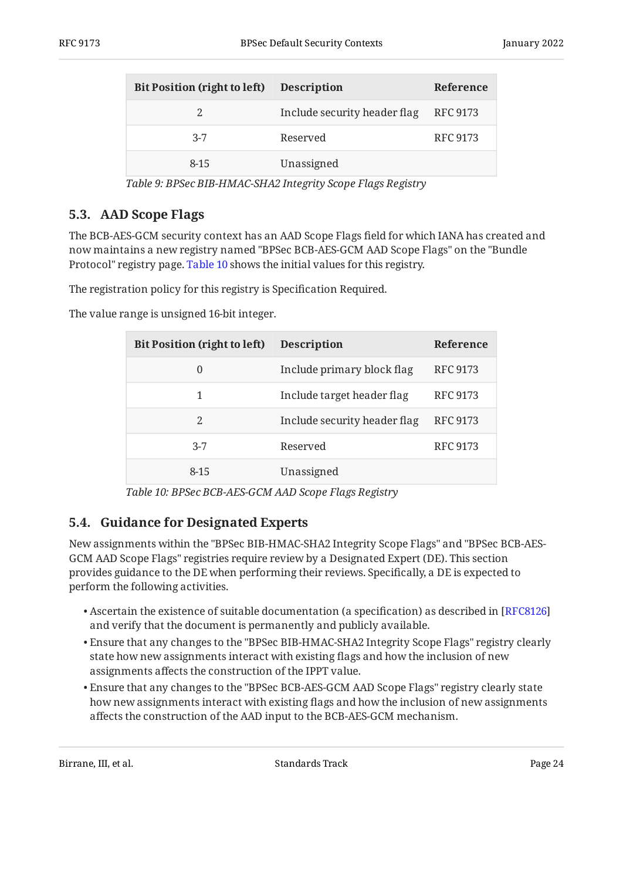| Bit Position (right to left) Description |                              | Reference       |
|------------------------------------------|------------------------------|-----------------|
|                                          | Include security header flag | RFC 9173        |
| $3 - 7$                                  | Reserved                     | <b>RFC 9173</b> |
| $8 - 15$                                 | Unassigned                   |                 |

*[Table 9](#page-22-6): [BPSec BIB-HMAC-SHA2 Integrity Scope Flags Registry](#page-22-5)* 

## <span id="page-23-0"></span>**[5.3. AAD Scope Flags](#page-23-0)**

The BCB-AES-GCM security context has an AAD Scope Flags field for which IANA has created and now maintains a new registry named "BPSec BCB-AES-GCM AAD Scope Flags" on the "Bundle Protocol" registry page. [Table 10](#page-23-2) shows the initial values for this registry.

The registration policy for this registry is Specification Required.

<span id="page-23-2"></span>The value range is unsigned 16-bit integer.

<span id="page-23-3"></span>

| <b>Bit Position (right to left)</b> | <b>Description</b>           | <b>Reference</b> |
|-------------------------------------|------------------------------|------------------|
| $\theta$                            | Include primary block flag   | <b>RFC 9173</b>  |
|                                     | Include target header flag   | <b>RFC 9173</b>  |
| 2                                   | Include security header flag | <b>RFC 9173</b>  |
| $3 - 7$                             | Reserved                     | <b>RFC 9173</b>  |
| $8 - 15$                            | Unassigned                   |                  |

*[Table 10](#page-23-3): [BPSec BCB-AES-GCM AAD Scope Flags Registry](#page-23-2)* 

## <span id="page-23-1"></span>**[5.4. Guidance for Designated Experts](#page-23-1)**

New assignments within the "BPSec BIB-HMAC-SHA2 Integrity Scope Flags" and "BPSec BCB-AES-GCM AAD Scope Flags" registries require review by a Designated Expert (DE). This section provides guidance to the DE when performing their reviews. Specifically, a DE is expected to perform the following activities.

- $\bullet$  Ascertain the existence of suitable documentation (a specification) as described in [[RFC8126\]](#page-27-9) and verify that the document is permanently and publicly available.
- Ensure that any changes to the "BPSec BIB-HMAC-SHA2 Integrity Scope Flags" registry clearly state how new assignments interact with existing flags and how the inclusion of new assignments affects the construction of the IPPT value.
- Ensure that any changes to the "BPSec BCB-AES-GCM AAD Scope Flags" registry clearly state how new assignments interact with existing flags and how the inclusion of new assignments affects the construction of the AAD input to the BCB-AES-GCM mechanism.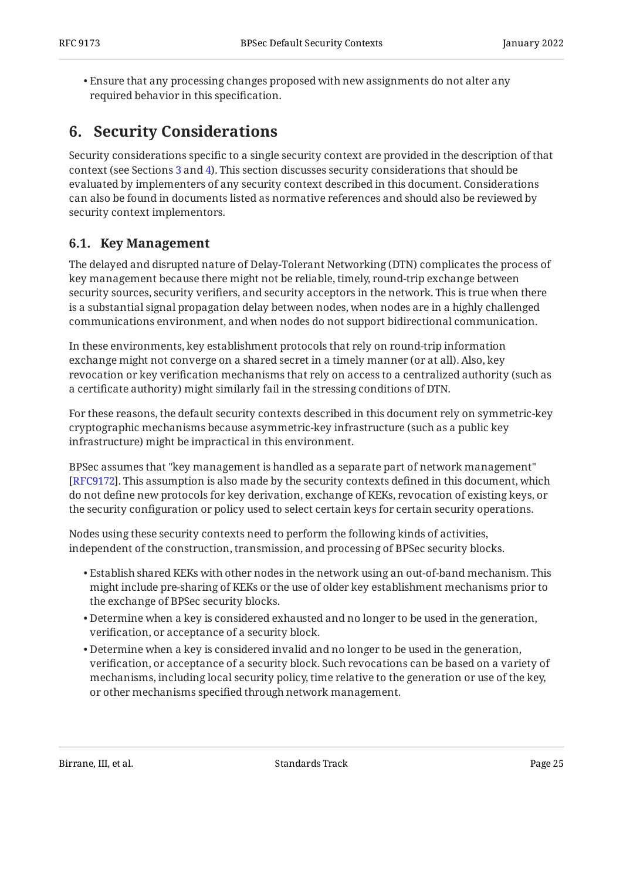Ensure that any processing changes proposed with new assignments do not alter any • required behavior in this specification.

# <span id="page-24-0"></span>**[6. Security Considerations](#page-24-0)**

Security considerations specific to a single security context are provided in the description of that context (see Sections [3](#page-4-1) and [4](#page-12-0)). This section discusses security considerations that should be evaluated by implementers of any security context described in this document. Considerations can also be found in documents listed as normative references and should also be reviewed by security context implementors.

## <span id="page-24-1"></span>**[6.1. Key Management](#page-24-1)**

The delayed and disrupted nature of Delay-Tolerant Networking (DTN) complicates the process of key management because there might not be reliable, timely, round-trip exchange between security sources, security verifiers, and security acceptors in the network. This is true when there is a substantial signal propagation delay between nodes, when nodes are in a highly challenged communications environment, and when nodes do not support bidirectional communication.

In these environments, key establishment protocols that rely on round-trip information exchange might not converge on a shared secret in a timely manner (or at all). Also, key revocation or key verification mechanisms that rely on access to a centralized authority (such as a certificate authority) might similarly fail in the stressing conditions of DTN.

For these reasons, the default security contexts described in this document rely on symmetric-key cryptographic mechanisms because asymmetric-key infrastructure (such as a public key infrastructure) might be impractical in this environment.

BPSec assumes that "key management is handled as a separate part of network management" [[RFC9172\]](#page-27-1). This assumption is also made by the security contexts defined in this document, which do not define new protocols for key derivation, exchange of KEKs, revocation of existing keys, or the security configuration or policy used to select certain keys for certain security operations.

Nodes using these security contexts need to perform the following kinds of activities, independent of the construction, transmission, and processing of BPSec security blocks.

- $\bullet$  Establish shared KEKs with other nodes in the network using an out-of-band mechanism. This might include pre-sharing of KEKs or the use of older key establishment mechanisms prior to the exchange of BPSec security blocks.
- Determine when a key is considered exhausted and no longer to be used in the generation, verification, or acceptance of a security block.
- Determine when a key is considered invalid and no longer to be used in the generation, verification, or acceptance of a security block. Such revocations can be based on a variety of mechanisms, including local security policy, time relative to the generation or use of the key, or other mechanisms specified through network management.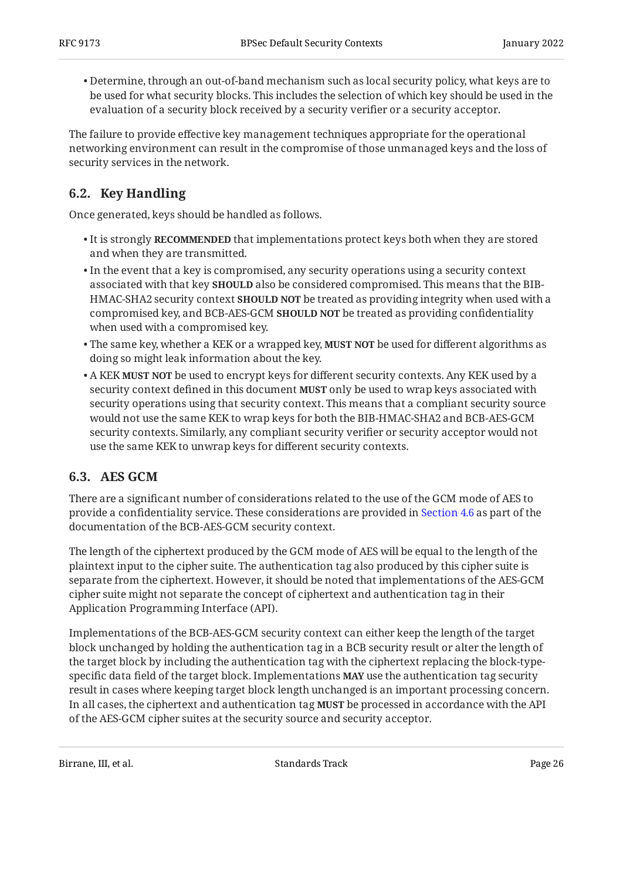$\bullet$  Determine, through an out-of-band mechanism such as local security policy, what keys are to be used for what security blocks. This includes the selection of which key should be used in the evaluation of a security block received by a security verifier or a security acceptor.

The failure to provide effective key management techniques appropriate for the operational networking environment can result in the compromise of those unmanaged keys and the loss of security services in the network.

## <span id="page-25-0"></span>**[6.2. Key Handling](#page-25-0)**

Once generated, keys should be handled as follows.

- It is strongly **RECOMMENDED** that implementations protect keys both when they are stored and when they are transmitted.
- $\bullet$  In the event that a key is compromised, any security operations using a security context associated with that key **SHOULD** also be considered compromised. This means that the BIB-HMAC-SHA2 security context **SHOULD NOT** be treated as providing integrity when used with a compromised key, and BCB-AES-GCM **SHOULD NOT** be treated as providing confidentiality when used with a compromised key.
- The same key, whether a KEK or a wrapped key, **MUST NOT** be used for different algorithms as doing so might leak information about the key.
- $\bullet$  A KEK **MUST NOT** be used to encrypt keys for different security contexts. Any KEK used by a security context defined in this document **MUST** only be used to wrap keys associated with security operations using that security context. This means that a compliant security source would not use the same KEK to wrap keys for both the BIB-HMAC-SHA2 and BCB-AES-GCM security contexts. Similarly, any compliant security verifier or security acceptor would not use the same KEK to unwrap keys for different security contexts.

## <span id="page-25-1"></span>**[6.3. AES GCM](#page-25-1)**

There are a significant number of considerations related to the use of the GCM mode of AES to provide a confidentiality service. These considerations are provided in [Section 4.6](#page-18-0) as part of the documentation of the BCB-AES-GCM security context.

The length of the ciphertext produced by the GCM mode of AES will be equal to the length of the plaintext input to the cipher suite. The authentication tag also produced by this cipher suite is separate from the ciphertext. However, it should be noted that implementations of the AES-GCM cipher suite might not separate the concept of ciphertext and authentication tag in their Application Programming Interface (API).

Implementations of the BCB-AES-GCM security context can either keep the length of the target block unchanged by holding the authentication tag in a BCB security result or alter the length of the target block by including the authentication tag with the ciphertext replacing the block-typespecific data field of the target block. Implementations **MAY** use the authentication tag security result in cases where keeping target block length unchanged is an important processing concern. In all cases, the ciphertext and authentication tag **MUST** be processed in accordance with the API of the AES-GCM cipher suites at the security source and security acceptor.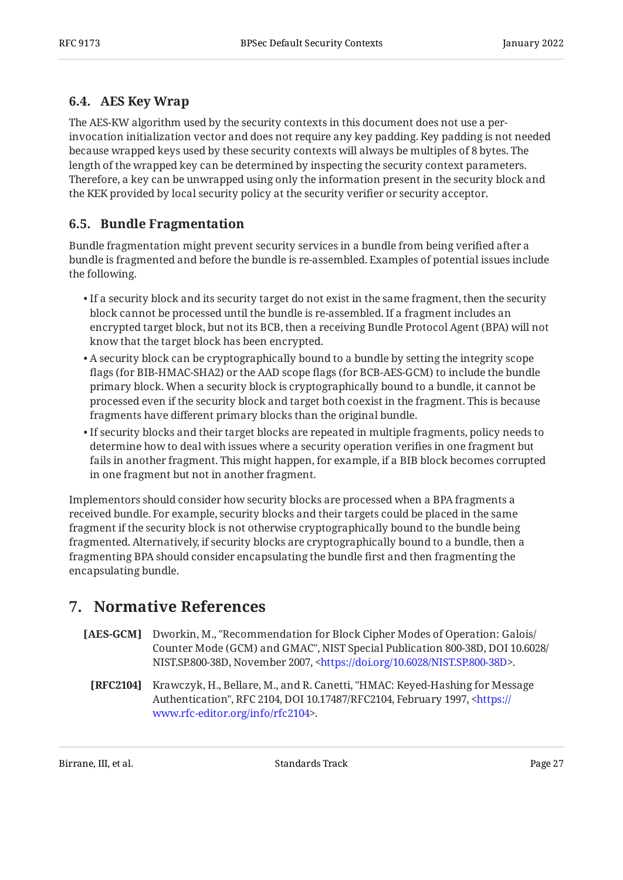## <span id="page-26-0"></span>**[6.4. AES Key Wrap](#page-26-0)**

The AES-KW algorithm used by the security contexts in this document does not use a perinvocation initialization vector and does not require any key padding. Key padding is not needed because wrapped keys used by these security contexts will always be multiples of 8 bytes. The length of the wrapped key can be determined by inspecting the security context parameters. Therefore, a key can be unwrapped using only the information present in the security block and the KEK provided by local security policy at the security verifier or security acceptor.

## <span id="page-26-1"></span>**[6.5. Bundle Fragmentation](#page-26-1)**

Bundle fragmentation might prevent security services in a bundle from being verified after a bundle is fragmented and before the bundle is re-assembled. Examples of potential issues include the following.

- $\bullet$  If a security block and its security target do not exist in the same fragment, then the security block cannot be processed until the bundle is re-assembled. If a fragment includes an encrypted target block, but not its BCB, then a receiving Bundle Protocol Agent (BPA) will not know that the target block has been encrypted.
- $\bullet$  A security block can be cryptographically bound to a bundle by setting the integrity scope flags (for BIB-HMAC-SHA2) or the AAD scope flags (for BCB-AES-GCM) to include the bundle primary block. When a security block is cryptographically bound to a bundle, it cannot be processed even if the security block and target both coexist in the fragment. This is because fragments have different primary blocks than the original bundle.
- $\bullet$  If security blocks and their target blocks are repeated in multiple fragments, policy needs to determine how to deal with issues where a security operation verifies in one fragment but fails in another fragment. This might happen, for example, if a BIB block becomes corrupted in one fragment but not in another fragment.

Implementors should consider how security blocks are processed when a BPA fragments a received bundle. For example, security blocks and their targets could be placed in the same fragment if the security block is not otherwise cryptographically bound to the bundle being fragmented. Alternatively, if security blocks are cryptographically bound to a bundle, then a fragmenting BPA should consider encapsulating the bundle first and then fragmenting the encapsulating bundle.

# <span id="page-26-2"></span>**[7. Normative References](#page-26-2)**

- <span id="page-26-4"></span><span id="page-26-3"></span>[AES-GCM] Dworkin, M., "Recommendation for Block Cipher Modes of Operation: Galois/ Counter Mode (GCM) and GMAC", NIST Special Publication 800-38D, DOI 10.6028/ NIST.SP.800-38D, November 2007, [<https://doi.org/10.6028/NIST.SP.800-38D](https://doi.org/10.6028/NIST.SP.800-38D)>.
	- **[RFC2104]** Krawczyk, H., Bellare, M., and R. Canetti, "HMAC: Keyed-Hashing for Message Authentication", RFC 2104, DOI 10.17487/RFC2104, February 1997, <[https://](https://www.rfc-editor.org/info/rfc2104) . [www.rfc-editor.org/info/rfc2104>](https://www.rfc-editor.org/info/rfc2104)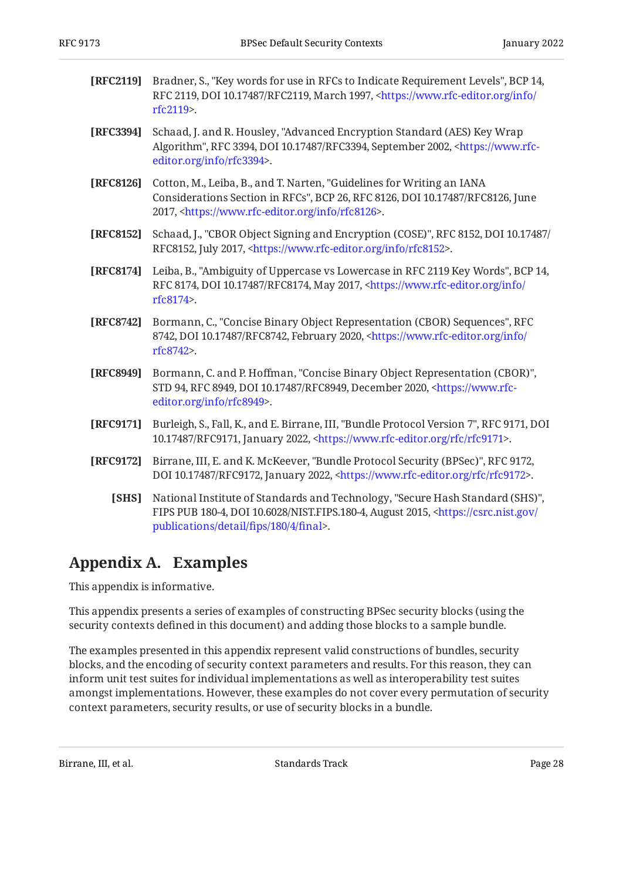- <span id="page-27-4"></span>**[RFC2119]** Bradner, S., "Key words for use in RFCs to Indicate Requirement Levels", BCP 14, RFC 2119, DOI 10.17487/RFC2119, March 1997, [<https://www.rfc-editor.org/info/](https://www.rfc-editor.org/info/rfc2119) . [rfc2119](https://www.rfc-editor.org/info/rfc2119)>
- <span id="page-27-8"></span>**[RFC3394]** Schaad, J. and R. Housley, "Advanced Encryption Standard (AES) Key Wrap Algorithm", RFC 3394, DOI 10.17487/RFC3394, September 2002, [<https://www.rfc-](https://www.rfc-editor.org/info/rfc3394). [editor.org/info/rfc3394](https://www.rfc-editor.org/info/rfc3394)>
- <span id="page-27-9"></span>**[RFC8126]** Cotton, M., Leiba, B., and T. Narten, "Guidelines for Writing an IANA Considerations Section in RFCs", BCP 26, RFC 8126, DOI 10.17487/RFC8126, June 2017, <https://www.rfc-editor.org/info/rfc8126>.
- <span id="page-27-7"></span>**[RFC8152]** Schaad, J., "CBOR Object Signing and Encryption (COSE)", RFC 8152, DOI 10.17487/ RFC8152, July 2017, <https://www.rfc-editor.org/info/rfc8152>.
- <span id="page-27-5"></span>**[RFC8174]** Leiba, B., "Ambiguity of Uppercase vs Lowercase in RFC 2119 Key Words", BCP 14, RFC 8174, DOI 10.17487/RFC8174, May 2017, <[https://www.rfc-editor.org/info/](https://www.rfc-editor.org/info/rfc8174) . [rfc8174](https://www.rfc-editor.org/info/rfc8174)>
- <span id="page-27-10"></span>**[RFC8742]** Bormann, C., "Concise Binary Object Representation (CBOR) Sequences", RFC 8742, DOI 10.17487/RFC8742, February 2020, [<https://www.rfc-editor.org/info/](https://www.rfc-editor.org/info/rfc8742) . [rfc8742](https://www.rfc-editor.org/info/rfc8742)>
- <span id="page-27-3"></span>**[RFC8949]** Bormann, C. and P. Hoffman, "Concise Binary Object Representation (CBOR)", STD 94, RFC 8949, DOI 10.17487/RFC8949, December 2020, [<https://www.rfc-](https://www.rfc-editor.org/info/rfc8949). [editor.org/info/rfc8949](https://www.rfc-editor.org/info/rfc8949)>
- <span id="page-27-2"></span>**[RFC9171]** Burleigh, S., Fall, K., and E. Birrane, III, "Bundle Protocol Version 7", RFC 9171, DOI 10.17487/RFC9171, January 2022, <https://www.rfc-editor.org/rfc/rfc9171>.
- <span id="page-27-6"></span><span id="page-27-1"></span>**[RFC9172]** Birrane, III, E. and K. McKeever, "Bundle Protocol Security (BPSec)", RFC 9172, DOI 10.17487/RFC9172, January 2022, <https://www.rfc-editor.org/rfc/rfc9172>.
	- **[SHS]** National Institute of Standards and Technology, "Secure Hash Standard (SHS)", FIPS PUB 180-4, DOI 10.6028/NIST.FIPS.180-4, August 2015, [<https://csrc.nist.gov/](https://csrc.nist.gov/publications/detail/fips/180/4/final) . [publications/detail/](https://csrc.nist.gov/publications/detail/fips/180/4/final)fips/180/4/final>

# <span id="page-27-0"></span>**[Appendix A. Examples](#page-27-0)**

This appendix is informative.

This appendix presents a series of examples of constructing BPSec security blocks (using the security contexts defined in this document) and adding those blocks to a sample bundle.

The examples presented in this appendix represent valid constructions of bundles, security blocks, and the encoding of security context parameters and results. For this reason, they can inform unit test suites for individual implementations as well as interoperability test suites amongst implementations. However, these examples do not cover every permutation of security context parameters, security results, or use of security blocks in a bundle.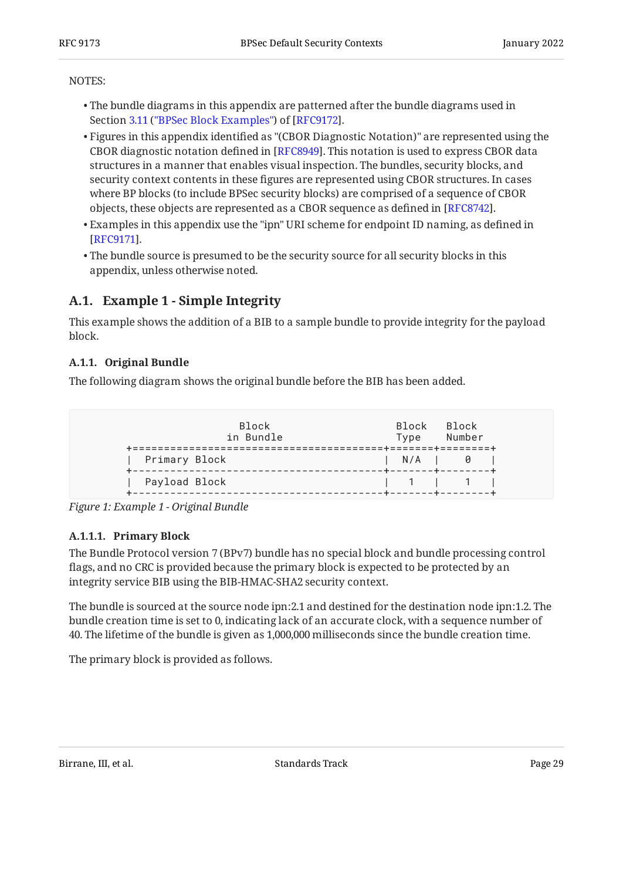#### NOTES:

- $\bullet$  The bundle diagrams in this appendix are patterned after the bundle diagrams used in Section3.11 ("BPSec Block Examples") of [RFC9172].
- $\bullet$  Figures in this appendix identified as "(CBOR Diagnostic Notation)" are represented using the CBOR diagnostic notation defined in [RFC8949]. This notation is used to express CBOR data structures in a manner that enables visual inspection. The bundles, security blocks, and security context contents in these figures are represented using CBOR structures. In cases where BP blocks (to include BPSec security blocks) are comprised of a sequence of CBOR objects, these objects are represented as a CBOR sequence as defined in [RFC8742].  $\,$
- $\bullet$  Examples in this appendix use the "ipn" URI scheme for endpoint ID naming, as defined in  $\,$ . [[RFC9171\]](#page-27-2)
- The bundle source is presumed to be the security source for all security blocks in this appendix, unless otherwise noted.

## <span id="page-28-0"></span>**[A.1. Example 1 - Simple Integrity](#page-28-0)**

This example shows the addition of a BIB to a sample bundle to provide integrity for the payload block.

## <span id="page-28-1"></span>**[A.1.1. Original Bundle](#page-28-1)**

The following diagram shows the original bundle before the BIB has been added.

<span id="page-28-2"></span>

| <b>Block</b><br>in Bundle | Block Block<br>Type | Number            |
|---------------------------|---------------------|-------------------|
| Primary Block             | $N/A$ $\qquad$ 0    | +-------+-------- |
| Payload Block             |                     | 11 11             |

*[Figure 1: Example 1 - Original Bundle](#page-28-2)* 

## <span id="page-28-3"></span>**[A.1.1.1. Primary Block](#page-28-3)**

The Bundle Protocol version 7 (BPv7) bundle has no special block and bundle processing control flags, and no CRC is provided because the primary block is expected to be protected by an integrity service BIB using the BIB-HMAC-SHA2 security context.

The bundle is sourced at the source node ipn:2.1 and destined for the destination node ipn:1.2. The bundle creation time is set to 0, indicating lack of an accurate clock, with a sequence number of 40. The lifetime of the bundle is given as 1,000,000 milliseconds since the bundle creation time.

<span id="page-28-4"></span>The primary block is provided as follows.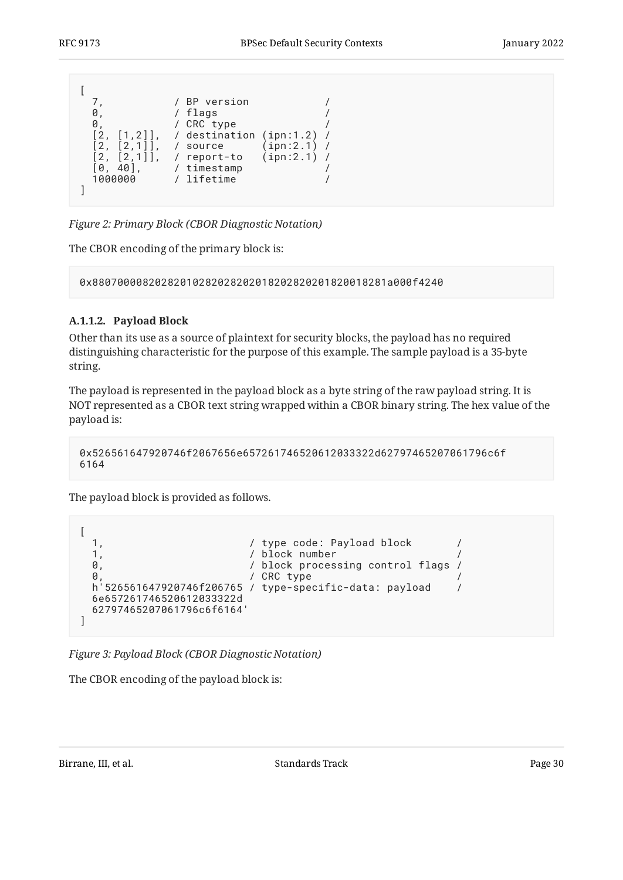<span id="page-29-0"></span>

| Ø<br>Ø<br>$[1,2]$<br>$[2,1]$ ,<br>$\lceil 2, \rceil$<br>$\begin{bmatrix} 2, & 2, & 1 \end{bmatrix}$<br>40 1.<br>10.<br>1000000 | / BP version<br>/ flags<br>/ CRC type<br>/ destination (ipn:1.2)<br>(ipn:2.1)<br>source<br>(ipn:2.1)<br>/ report-to<br>/ timestamp<br>/ lifetime |  |
|--------------------------------------------------------------------------------------------------------------------------------|--------------------------------------------------------------------------------------------------------------------------------------------------|--|
|                                                                                                                                |                                                                                                                                                  |  |

*[Figure 2:](#page-29-0) [Primary Block \(CBOR Diagnostic Notation\)](#page-28-4)* 

The CBOR encoding of the primary block is:

0x88070000820282010282028202018202820201820018281a000f4240

## <span id="page-29-1"></span>**[A.1.1.2. Payload Block](#page-29-1)**

Other than its use as a source of plaintext for security blocks, the payload has no required distinguishing characteristic for the purpose of this example. The sample payload is a 35-byte string.

The payload is represented in the payload block as a byte string of the raw payload string. It is NOT represented as a CBOR text string wrapped within a CBOR binary string. The hex value of the payload is:

```
0x526561647920746f2067656e657261746520612033322d62797465207061796c6f
6164
```
The payload block is provided as follows.

```
\sqrt{ }1, / type code: Payload block /<br>1. / block number /
                                              1, / block number /
   0, \frac{1}{2} / block processing control flags /
   0, and the contract of the contract of the contract of the contract of the contract of the contract of the contract of the contract of the contract of the contract of the contract of the contract of the contract of the con
    h'526561647920746f206765 / type-specific-data: payload /
    6e657261746520612033322d
    62797465207061796c6f6164'
]
```
*[Figure 3: Payload Block \(CBOR Diagnostic Notation\)](#page-29-2)* 

The CBOR encoding of the payload block is: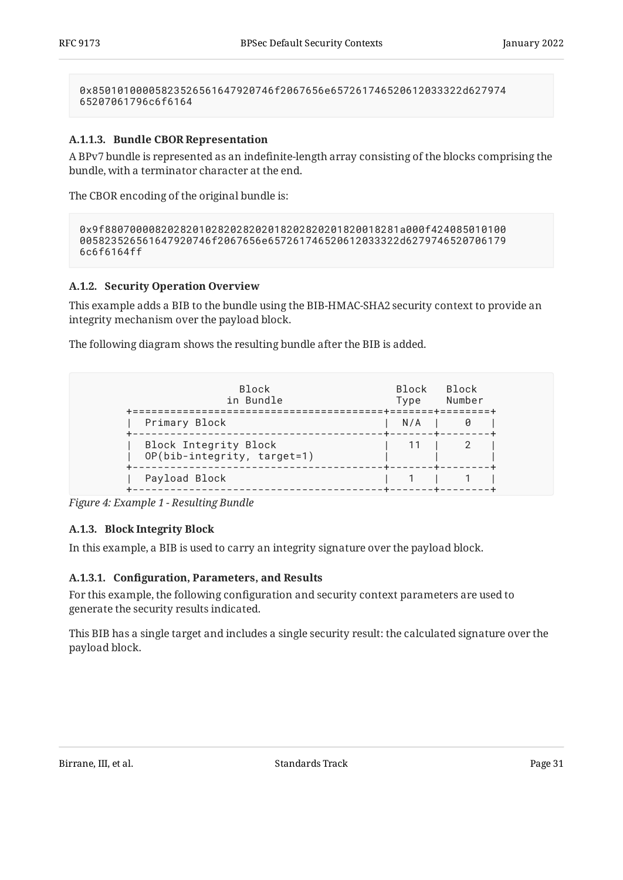0x85010100005823526561647920746f2067656e657261746520612033322d627974 65207061796c6f6164

#### <span id="page-30-2"></span>**[A.1.1.3. Bundle CBOR Representation](#page-30-2)**

A BPv7 bundle is represented as an indefinite-length array consisting of the blocks comprising the bundle, with a terminator character at the end.

The CBOR encoding of the original bundle is:

```
0x9f88070000820282010282028202018202820201820018281a000f424085010100
005823526561647920746f2067656e657261746520612033322d6279746520706179
6c6f6164ff
```
#### <span id="page-30-0"></span>**[A.1.2. Security Operation Overview](#page-30-0)**

This example adds a BIB to the bundle using the BIB-HMAC-SHA2 security context to provide an integrity mechanism over the payload block.

<span id="page-30-3"></span>The following diagram shows the resulting bundle after the BIB is added.

| <b>Block</b><br>in Bundle<br>=================       | Block<br>Type | Block<br>Number<br>=======+========+ |
|------------------------------------------------------|---------------|--------------------------------------|
| Primary Block                                        | $N/A$         |                                      |
| Block Integrity Block<br>OP(bib-integrity, target=1) |               |                                      |
| Payload Block                                        |               |                                      |

<span id="page-30-1"></span>*[Figure 4: Example 1 - Resulting Bundle](#page-30-3)* 

#### **[A.1.3. Block Integrity Block](#page-30-1)**

In this example, a BIB is used to carry an integrity signature over the payload block.

#### <span id="page-30-4"></span>**[A.1.3.1.](#page-30-4) Confi[guration, Parameters, and Results](#page-30-4)**

For this example, the following configuration and security context parameters are used to generate the security results indicated.

<span id="page-30-5"></span>This BIB has a single target and includes a single security result: the calculated signature over the payload block.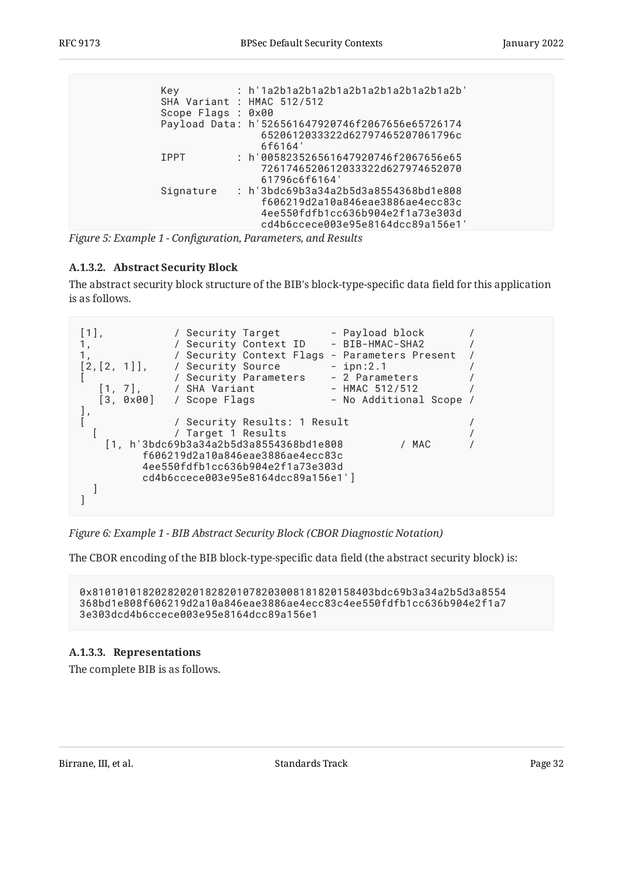<span id="page-31-0"></span>

| Key                        | : h'1a2b1a2b1a2b1a2b1a2b1a2b1a2b1a2b'            |
|----------------------------|--------------------------------------------------|
| SHA Variant : HMAC 512/512 |                                                  |
| Scope Flags : 0x00         |                                                  |
|                            | Payload Data: h'526561647920746f2067656e65726174 |
|                            | 6520612033322d62797465207061796c                 |
|                            | 6f6164                                           |
| <b>TPPT</b>                | : h'005823526561647920746f2067656e65             |
|                            | 7261746520612033322d627974652070                 |
|                            | 61796c6f6164                                     |
| Signature                  | : h 3bdc69b3a34a2b5d3a8554368bd1e808             |
|                            | f606219d2a10a846eae3886ae4ecc83c                 |
|                            | 4ee550fdfb1cc636b904e2f1a73e303d                 |
|                            | cd4b6ccece003e95e8164dcc89a156e1'                |
|                            |                                                  |

*[Figure 5:](#page-31-0) Example 1 - Confi[guration, Parameters, and Results](#page-30-5)*

## <span id="page-31-1"></span>**[A.1.3.2. Abstract Security Block](#page-31-1)**

The abstract security block structure of the BIB's block-type-specific data field for this application is as follows.

<span id="page-31-2"></span>

*[Figure 6: Example 1 - BIB Abstract Security Block \(CBOR Diagnostic Notation\)](#page-31-2)* 

The CBOR encoding of the BIB block-type-specific data field (the abstract security block) is:

0x810101018202820201828201078203008181820158403bdc69b3a34a2b5d3a8554 368bd1e808f606219d2a10a846eae3886ae4ecc83c4ee550fdfb1cc636b904e2f1a7 3e303dcd4b6ccece003e95e8164dcc89a156e1

## <span id="page-31-3"></span>**[A.1.3.3. Representations](#page-31-3)**

<span id="page-31-4"></span>The complete BIB is as follows.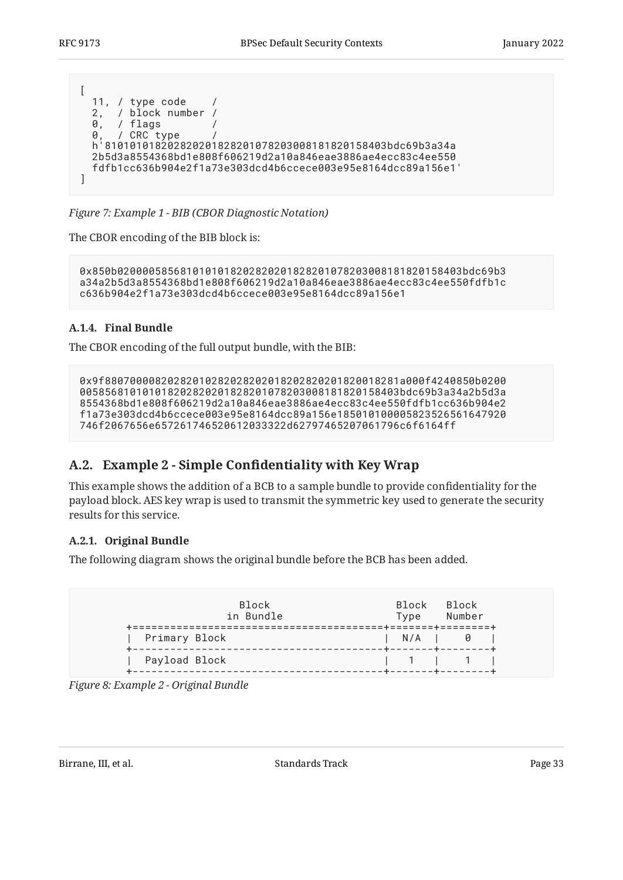```
[
  11, / type code /
  2, / block number /
  0, / flags /
 0, / CRC type /
 h'810101018202820201828201078203008181820158403bdc69b3a34a
  2b5d3a8554368bd1e808f606219d2a10a846eae3886ae4ecc83c4ee550
  fdfb1cc636b904e2f1a73e303dcd4b6ccece003e95e8164dcc89a156e1'
]
```
*[Figure 7:](#page-32-3) [Example 1 - BIB \(CBOR Diagnostic Notation\)](#page-31-4)* 

The CBOR encoding of the BIB block is:

```
0x850b0200005856810101018202820201828201078203008181820158403bdc69b3
a34a2b5d3a8554368bd1e808f606219d2a10a846eae3886ae4ecc83c4ee550fdfb1c
c636b904e2f1a73e303dcd4b6ccece003e95e8164dcc89a156e1
```
## <span id="page-32-0"></span>**[A.1.4. Final Bundle](#page-32-0)**

The CBOR encoding of the full output bundle, with the BIB:

```
0x9f88070000820282010282028202018202820201820018281a000f4240850b0200
005856810101018202820201828201078203008181820158403bdc69b3a34a2b5d3a
8554368bd1e808f606219d2a10a846eae3886ae4ecc83c4ee550fdfb1cc636b904e2
f1a73e303dcd4b6ccece003e95e8164dcc89a156e185010100005823526561647920
746f2067656e657261746520612033322d62797465207061796c6f6164ff
```
## <span id="page-32-1"></span>**[A.2.](#page-32-1) Example 2 - Simple Confi[dentiality with Key Wrap](#page-32-1)**

This example shows the addition of a BCB to a sample bundle to provide confidentiality for the payload block. AES key wrap is used to transmit the symmetric key used to generate the security results for this service.

## <span id="page-32-2"></span>**[A.2.1. Original Bundle](#page-32-2)**

The following diagram shows the original bundle before the BCB has been added.

<span id="page-32-4"></span>

|               | Block<br>in Bundle | ==============+=======+======= | Type              | Block Block<br>Number |
|---------------|--------------------|--------------------------------|-------------------|-----------------------|
| Primary Block |                    |                                | -+-------+------- | N/A I 0               |
| Payload Block |                    | -----------+----------------   |                   | 11111                 |

*[Figure 8: Example 2 - Original Bundle](#page-32-4)*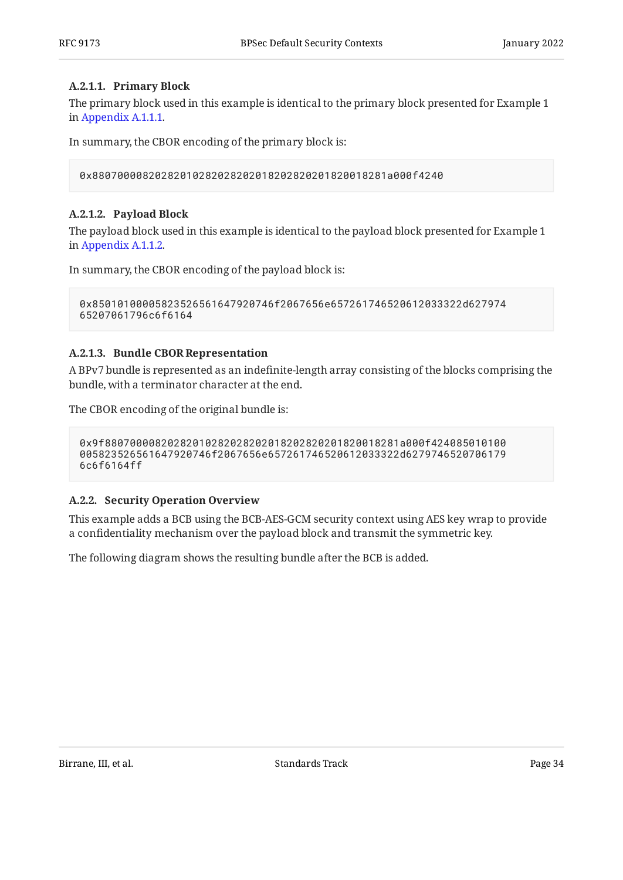#### <span id="page-33-1"></span>**[A.2.1.1. Primary Block](#page-33-1)**

The primary block used in this example is identical to the primary block presented for Example 1 in [Appendix A.1.1.1](#page-28-3).

In summary, the CBOR encoding of the primary block is:

0x88070000820282010282028202018202820201820018281a000f4240

#### <span id="page-33-2"></span>**[A.2.1.2. Payload Block](#page-33-2)**

The payload block used in this example is identical to the payload block presented for Example 1 in [Appendix A.1.1.2](#page-29-1).

In summary, the CBOR encoding of the payload block is:

```
0x85010100005823526561647920746f2067656e657261746520612033322d627974
65207061796c6f6164
```
#### <span id="page-33-3"></span>**[A.2.1.3. Bundle CBOR Representation](#page-33-3)**

A BPv7 bundle is represented as an indefinite-length array consisting of the blocks comprising the bundle, with a terminator character at the end.

The CBOR encoding of the original bundle is:

```
0x9f88070000820282010282028202018202820201820018281a000f424085010100
005823526561647920746f2067656e657261746520612033322d6279746520706179
6c6f6164ff
```
## <span id="page-33-0"></span>**[A.2.2. Security Operation Overview](#page-33-0)**

This example adds a BCB using the BCB-AES-GCM security context using AES key wrap to provide a confidentiality mechanism over the payload block and transmit the symmetric key.

<span id="page-33-4"></span>The following diagram shows the resulting bundle after the BCB is added.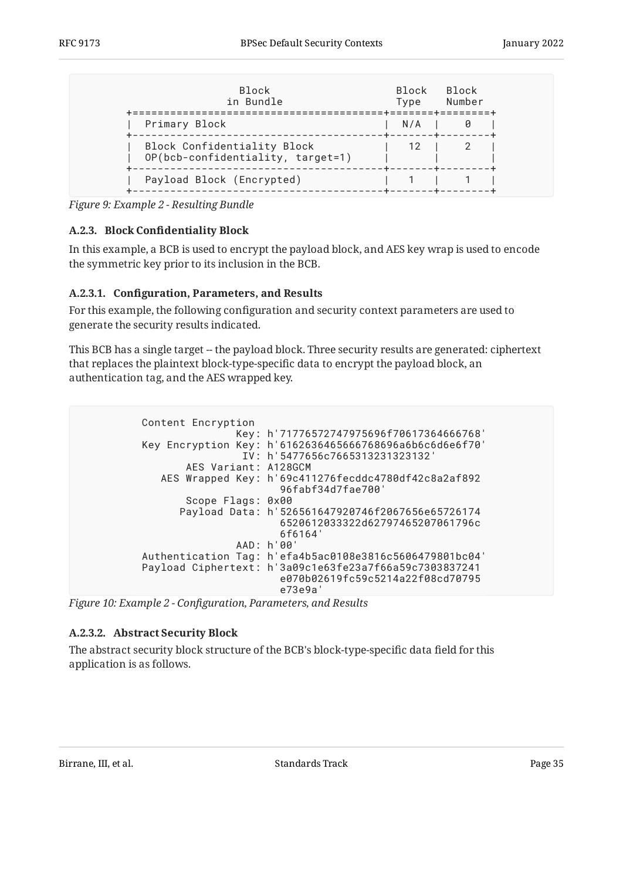<span id="page-34-1"></span>

| <b>Block</b><br>in Bundle                                        | <b>Block</b><br>Type | <b>Block</b><br>Number<br>=======+========+ |
|------------------------------------------------------------------|----------------------|---------------------------------------------|
| Primary Block                                                    | N/A                  |                                             |
| Block Confidentiality Block<br>OP(bcb-confidentiality, target=1) | -12                  |                                             |
| Payload Block (Encrypted)                                        |                      |                                             |

<span id="page-34-0"></span>*[Figure 9:](#page-34-1) [Example 2 - Resulting Bundle](#page-33-4)* 

## **[A.2.3.](#page-34-0) Block Confi[dentiality Block](#page-34-0)**

In this example, a BCB is used to encrypt the payload block, and AES key wrap is used to encode the symmetric key prior to its inclusion in the BCB.

#### <span id="page-34-2"></span>**[A.2.3.1.](#page-34-2) Confi[guration, Parameters, and Results](#page-34-2)**

For this example, the following configuration and security context parameters are used to generate the security results indicated.

This BCB has a single target -- the payload block. Three security results are generated: ciphertext that replaces the plaintext block-type-specific data to encrypt the payload block, an authentication tag, and the AES wrapped key.

<span id="page-34-3"></span> Content Encryption Key: h'71776572747975696f70617364666768' Key Encryption Key: h'6162636465666768696a6b6c6d6e6f70' IV: h'5477656c7665313231323132' AES Variant: A128GCM AES Wrapped Key: h'69c411276fecddc4780df42c8a2af892 96fabf34d7fae700' Scope Flags: 0x00 Payload Data: h'526561647920746f2067656e65726174 6520612033322d62797465207061796c 6f6164' AAD: h'00' Authentication Tag: h'efa4b5ac0108e3816c5606479801bc04' Payload Ciphertext: h'3a09c1e63fe23a7f66a59c7303837241 e070b02619fc59c5214a22f08cd70795 e73e9a'

*[Figure 10:](#page-34-3) Example 2 - Confi[guration, Parameters, and Results](#page-34-3)* 

## <span id="page-34-4"></span>**[A.2.3.2. Abstract Security Block](#page-34-4)**

<span id="page-34-5"></span>The abstract security block structure of the BCB's block-type-specific data field for this application is as follows.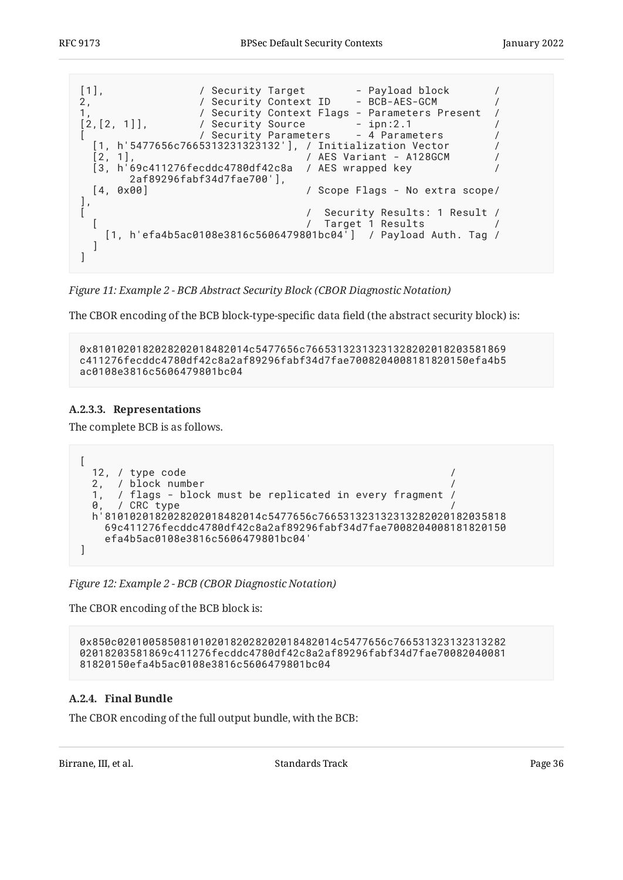```
[1],               / Security Target       - Payload block         /
2,                 / Security Context ID       BCB-AES-GCM           /
1, All Security Context Flags - Parameters Present
[2,[2, 1]], / Security Source - ipn:2.1 /
[ / Security Parameters - 4 Parameters /
 [1, h'5477656c7665313231323132'], / Initialization Vector /
 [2, 1], / AES Variant - A128GCM /
 [3, h'69c411276fecddc4780df42c8a / AES wrapped key /
       2af89296fabf34d7fae700'],
  [4, 0x00] / Scope Flags - No extra scope/
\begin{bmatrix} 1 \\ 1 \end{bmatrix}[ / Security Results: 1 Result /
  [ / Target 1 Results /
   [1, h'efa4b5ac0108e3816c5606479801bc04\bar{I}] / Payload Auth. Tag /
  ]
]
```
*[Figure 11:](#page-35-1) [Example 2 - BCB Abstract Security Block \(CBOR Diagnostic Notation\)](#page-34-5)* 

The CBOR encoding of the BCB block-type-specific data field (the abstract security block) is:

```
0x8101020182028202018482014c5477656c76653132313231328202018203581869
c411276fecddc4780df42c8a2af89296fabf34d7fae7008204008181820150efa4b5
ac0108e3816c5606479801bc04
```
## <span id="page-35-2"></span>**[A.2.3.3. Representations](#page-35-2)**

The complete BCB is as follows.

```
\left[ \right] 12, / type code /
   2, / block number /
   1, / flags - block must be replicated in every fragment /
  0. / CRC type
   h'8101020182028202018482014c5477656c766531323132313282020182035818
     69c411276fecddc4780df42c8a2af89296fabf34d7fae7008204008181820150
     efa4b5ac0108e3816c5606479801bc04'
]
```
*[Figure 12: Example 2 - BCB \(CBOR Diagnostic Notation\)](#page-35-3)* 

The CBOR encoding of the BCB block is:

0x850c02010058508101020182028202018482014c5477656c766531323132313282 02018203581869c411276fecddc4780df42c8a2af89296fabf34d7fae70082040081 81820150efa4b5ac0108e3816c5606479801bc04

## <span id="page-35-0"></span>**[A.2.4. Final Bundle](#page-35-0)**

The CBOR encoding of the full output bundle, with the BCB: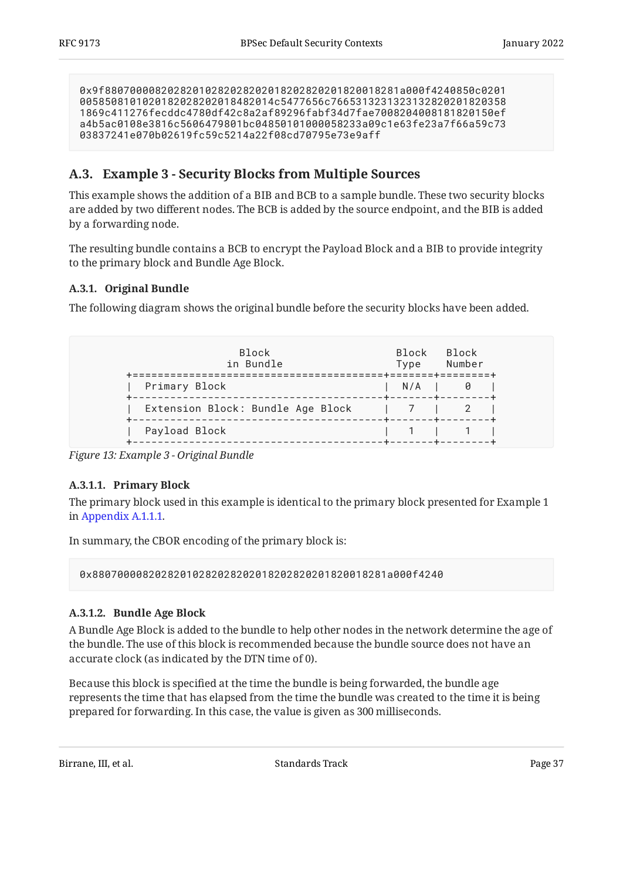0x9f88070000820282010282028202018202820201820018281a000f4240850c0201 0058508101020182028202018482014c5477656c7665313231323132820201820358 1869c411276fecddc4780df42c8a2af89296fabf34d7fae7008204008181820150ef a4b5ac0108e3816c5606479801bc04850101000058233a09c1e63fe23a7f66a59c73 03837241e070b02619fc59c5214a22f08cd70795e73e9aff

## <span id="page-36-0"></span>**[A.3. Example 3 - Security Blocks from Multiple Sources](#page-36-0)**

This example shows the addition of a BIB and BCB to a sample bundle. These two security blocks are added by two different nodes. The BCB is added by the source endpoint, and the BIB is added by a forwarding node.

The resulting bundle contains a BCB to encrypt the Payload Block and a BIB to provide integrity to the primary block and Bundle Age Block.

## <span id="page-36-1"></span>**[A.3.1. Original Bundle](#page-36-1)**

The following diagram shows the original bundle before the security blocks have been added.

<span id="page-36-2"></span>

| <b>Block</b><br>in Bundle                                                                                               | <b>Block</b><br>Type | Block<br>Number |
|-------------------------------------------------------------------------------------------------------------------------|----------------------|-----------------|
| Primary Block<br>-------------------------------------                                                                  |                      | $N/A$ 10        |
| Extension Block: Bundle Age Block<br>-------------------------- <b>-</b> ------ <b>+</b> ----- <b>+</b> ------ <b>+</b> |                      |                 |
| Payload Block                                                                                                           |                      |                 |

*[Figure 13: Example 3 - Original Bundle](#page-36-2)* 

## <span id="page-36-3"></span>**[A.3.1.1. Primary Block](#page-36-3)**

The primary block used in this example is identical to the primary block presented for Example 1 in [Appendix A.1.1.1](#page-28-3).

In summary, the CBOR encoding of the primary block is:

0x88070000820282010282028202018202820201820018281a000f4240

## <span id="page-36-4"></span>**[A.3.1.2. Bundle Age Block](#page-36-4)**

A Bundle Age Block is added to the bundle to help other nodes in the network determine the age of the bundle. The use of this block is recommended because the bundle source does not have an accurate clock (as indicated by the DTN time of 0).

Because this block is specified at the time the bundle is being forwarded, the bundle age represents the time that has elapsed from the time the bundle was created to the time it is being prepared for forwarding. In this case, the value is given as 300 milliseconds.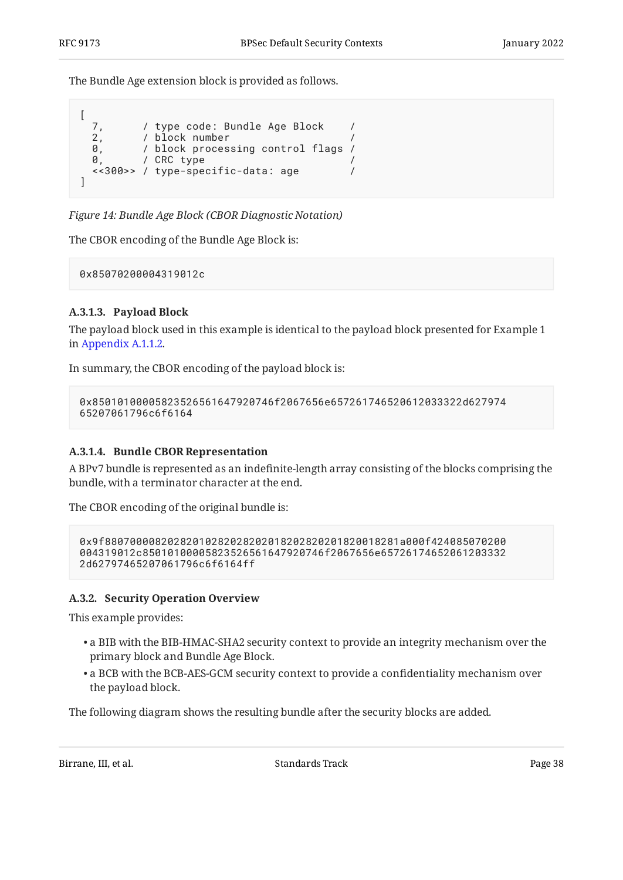The Bundle Age extension block is provided as follows.

```
\sqrt{ }7, / type code: Bundle Age Block /<br>2. / block number /
  2, / block number<br>0. / block process
            0, / block processing control flags /
  0, / CRC type
   <<300>> / type-specific-data: age /
]
```
*[Figure 14: Bundle Age Block \(CBOR Diagnostic Notation\)](#page-37-1)* 

The CBOR encoding of the Bundle Age Block is:

0x85070200004319012c

## <span id="page-37-2"></span>**[A.3.1.3. Payload Block](#page-37-2)**

The payload block used in this example is identical to the payload block presented for Example 1 in [Appendix A.1.1.2](#page-29-1).

In summary, the CBOR encoding of the payload block is:

```
0x85010100005823526561647920746f2067656e657261746520612033322d627974
65207061796c6f6164
```
#### <span id="page-37-3"></span>**[A.3.1.4. Bundle CBOR Representation](#page-37-3)**

A BPv7 bundle is represented as an indefinite-length array consisting of the blocks comprising the bundle, with a terminator character at the end.

The CBOR encoding of the original bundle is:

```
0x9f88070000820282010282028202018202820201820018281a000f424085070200
004319012c85010100005823526561647920746f2067656e65726174652061203332
2d62797465207061796c6f6164ff
```
#### <span id="page-37-0"></span>**[A.3.2. Security Operation Overview](#page-37-0)**

This example provides:

- $\bullet$  a BIB with the BIB-HMAC-SHA2 security context to provide an integrity mechanism over the primary block and Bundle Age Block.
- $\bullet$  a BCB with the BCB-AES-GCM security context to provide a confidentiality mechanism over the payload block.

The following diagram shows the resulting bundle after the security blocks are added.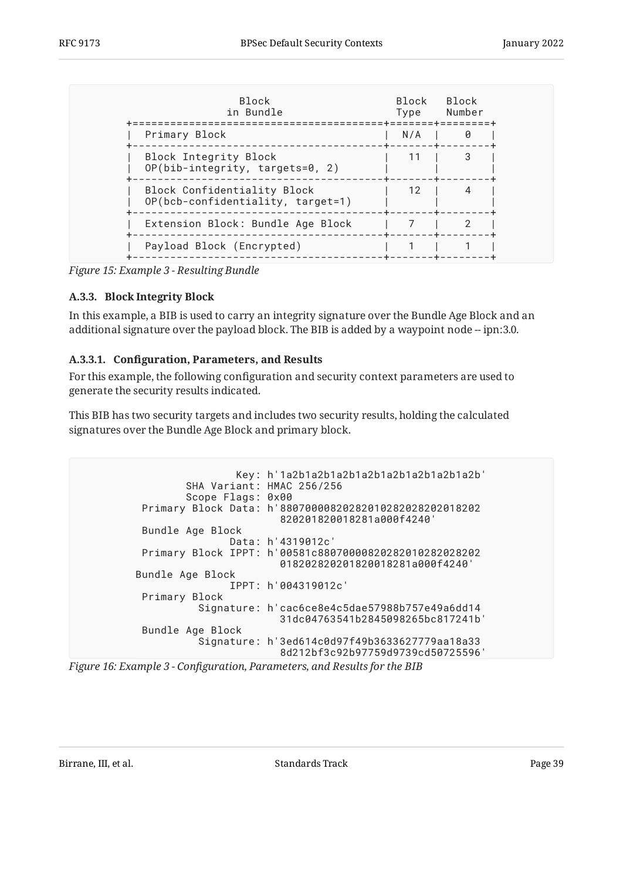<span id="page-38-1"></span>

| <b>Block</b><br>in Bundle                                        | Block<br>Type | Block<br>Number<br>======+====== |
|------------------------------------------------------------------|---------------|----------------------------------|
| Primary Block                                                    | N/A           | Ø                                |
| Block Integrity Block<br>OP(bib-integrity, targets=0, 2)         |               |                                  |
| Block Confidentiality Block<br>OP(bcb-confidentiality, target=1) | 12            |                                  |
| Extension Block: Bundle Age Block                                |               |                                  |
| Payload Block (Encrypted)                                        |               |                                  |

<span id="page-38-0"></span>*[Figure 15: Example 3 - Resulting Bundle](#page-38-1)* 

#### **[A.3.3. Block Integrity Block](#page-38-0)**

In this example, a BIB is used to carry an integrity signature over the Bundle Age Block and an additional signature over the payload block. The BIB is added by a waypoint node -- ipn:3.0.

#### <span id="page-38-2"></span>**[A.3.3.1.](#page-38-2) Confi[guration, Parameters, and Results](#page-38-2)**

For this example, the following configuration and security context parameters are used to generate the security results indicated.

This BIB has two security targets and includes two security results, holding the calculated signatures over the Bundle Age Block and primary block.

```
 Key: h'1a2b1a2b1a2b1a2b1a2b1a2b1a2b1a2b'
         SHA Variant: HMAC 256/256
         Scope Flags: 0x00
  Primary Block Data: h'88070000820282010282028202018202
                         820201820018281a000f4240'
  Bundle Age Block
                Data: h'4319012c'
  Primary Block IPPT: h'00581c88070000820282010282028202
                         018202820201820018281a000f4240'
Bundle Age Block
                IPPT: h'004319012c'
  Primary Block
           Signature: h'cac6ce8e4c5dae57988b757e49a6dd14
                         31dc04763541b2845098265bc817241b'
  Bundle Age Block
           Signature: h'3ed614c0d97f49b3633627779aa18a33
                         8d212bf3c92b97759d9739cd50725596'
```
*[Figure 16:](#page-38-3) Example 3 - Confi[guration, Parameters, and Results for the BIB](#page-38-3)*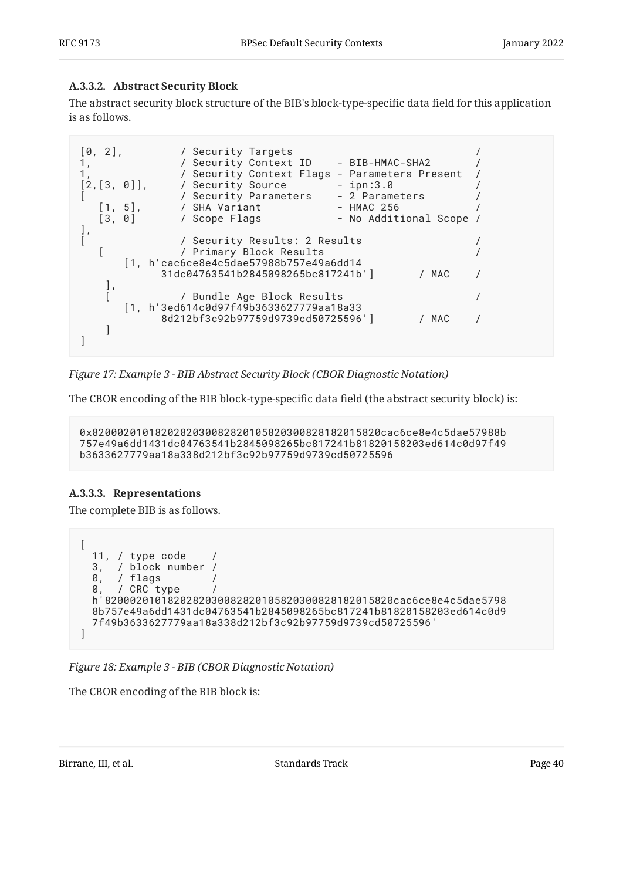## <span id="page-39-0"></span>**[A.3.3.2. Abstract Security Block](#page-39-0)**

The abstract security block structure of the BIB's block-type-specific data field for this application is as follows.

```
[0, 2],         / Security Targets<br>1.           / Security Context ID       BIB-HMAC-SHA2
1, \overline{1} / Security Context ID - BIB-HMAC-SHA2 /
1, \sqrt{3} / Security Context Flags - Parameters Present
[2,[3, 0]], / Security Source - ipn:3.0 /
[ / Security Parameters - 2 Parameters /
   \begin{bmatrix} 1, 5 \end{bmatrix}, / SHA Variant - HMAC 256 \begin{bmatrix} 3 & 8 \end{bmatrix} / Scope Flags - No Addit
   [3, 0] / Scope Flags - No Additional Scope /
\frac{1}{1}[ / Security Results: 2 Results /
    [ / Primary Block Results /
       [1, h'cac6ce8e4c5dae57988b757e49a6dd14
             31dc04763541b2845098265bc817241b'] / MAC /
    ],
                [ / Bundle Age Block Results /
       [1, h'3ed614c0d97f49b3633627779aa18a33
             8d212bf3c92b97759d9739cd50725596'] / MAC /
    ]
]
```
*[Figure 17: Example 3 - BIB Abstract Security Block \(CBOR Diagnostic Notation\)](#page-39-1)* 

The CBOR encoding of the BIB block-type-specific data field (the abstract security block) is:

0x8200020101820282030082820105820300828182015820cac6ce8e4c5dae57988b 757e49a6dd1431dc04763541b2845098265bc817241b81820158203ed614c0d97f49 b3633627779aa18a338d212bf3c92b97759d9739cd50725596

## <span id="page-39-2"></span>**[A.3.3.3. Representations](#page-39-2)**

The complete BIB is as follows.

```
[
   11, / type code /
  3, / block number /
  0, / flags /
 0, / CRC type
  h'8200020101820282030082820105820300828182015820cac6ce8e4c5dae5798
  8b757e49a6dd1431dc04763541b2845098265bc817241b81820158203ed614c0d9
  7f49b3633627779aa18a338d212bf3c92b97759d9739cd50725596'
]
```

```
Figure 18: Example 3 - BIB (CBOR Diagnostic Notation)
```
The CBOR encoding of the BIB block is: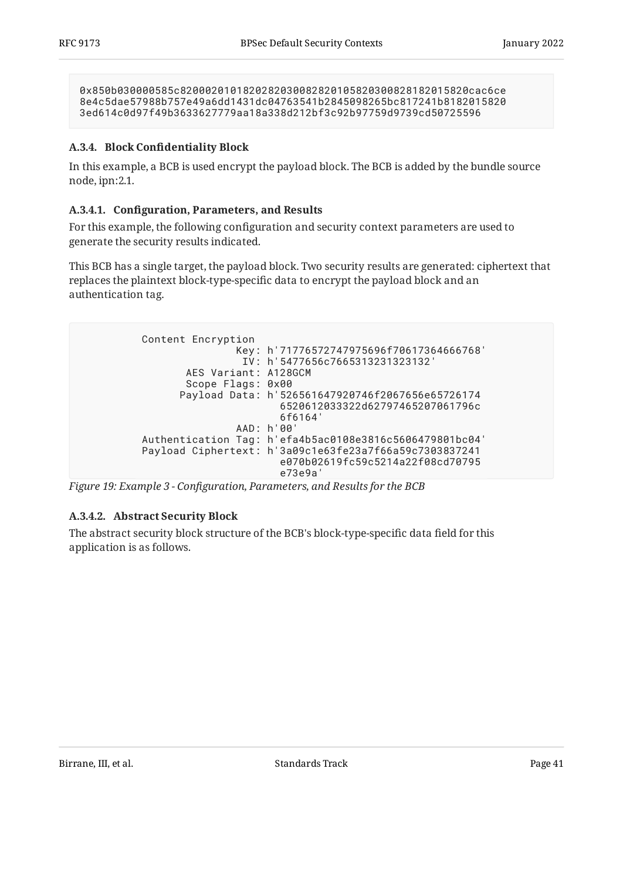0x850b030000585c8200020101820282030082820105820300828182015820cac6ce 8e4c5dae57988b757e49a6dd1431dc04763541b2845098265bc817241b8182015820 3ed614c0d97f49b3633627779aa18a338d212bf3c92b97759d9739cd50725596

## <span id="page-40-0"></span>**[A.3.4.](#page-40-0) Block Confi[dentiality Block](#page-40-0)**

In this example, a BCB is used encrypt the payload block. The BCB is added by the bundle source node, ipn:2.1.

## <span id="page-40-1"></span>**[A.3.4.1.](#page-40-1) Confi[guration, Parameters, and Results](#page-40-1)**

For this example, the following configuration and security context parameters are used to generate the security results indicated.

This BCB has a single target, the payload block. Two security results are generated: ciphertext that replaces the plaintext block-type-specific data to encrypt the payload block and an authentication tag.

<span id="page-40-2"></span>

*[Figure 19:](#page-40-2) Example 3 - Confi[guration, Parameters, and Results for the BCB](#page-40-2)* 

## <span id="page-40-3"></span>**[A.3.4.2. Abstract Security Block](#page-40-3)**

<span id="page-40-4"></span>The abstract security block structure of the BCB's block-type-specific data field for this application is as follows.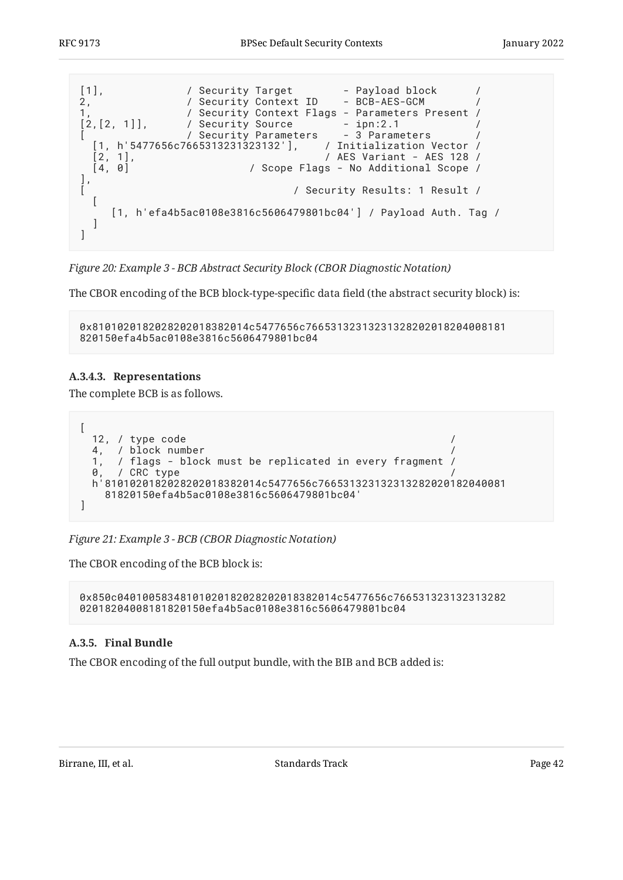<span id="page-41-1"></span>

*[Figure 20:](#page-41-1) [Example 3 - BCB Abstract Security Block \(CBOR Diagnostic Notation\)](#page-40-4)* 

The CBOR encoding of the BCB block-type-specific data field (the abstract security block) is:

```
0x8101020182028202018382014c5477656c76653132313231328202018204008181
820150efa4b5ac0108e3816c5606479801bc04
```
## <span id="page-41-2"></span>**[A.3.4.3. Representations](#page-41-2)**

The complete BCB is as follows.

```
\sqrt{2} 12, / type code /
  4, / block number
   1, / flags - block must be replicated in every fragment /
  0. / CRC type
   h'8101020182028202018382014c5477656c766531323132313282020182040081
     81820150efa4b5ac0108e3816c5606479801bc04'
]
```

```
Figure 21: Example 3 - BCB (CBOR Diagnostic Notation)
```
The CBOR encoding of the BCB block is:

0x850c04010058348101020182028202018382014c5477656c766531323132313282 02018204008181820150efa4b5ac0108e3816c5606479801bc04

## <span id="page-41-0"></span>**[A.3.5. Final Bundle](#page-41-0)**

The CBOR encoding of the full output bundle, with the BIB and BCB added is: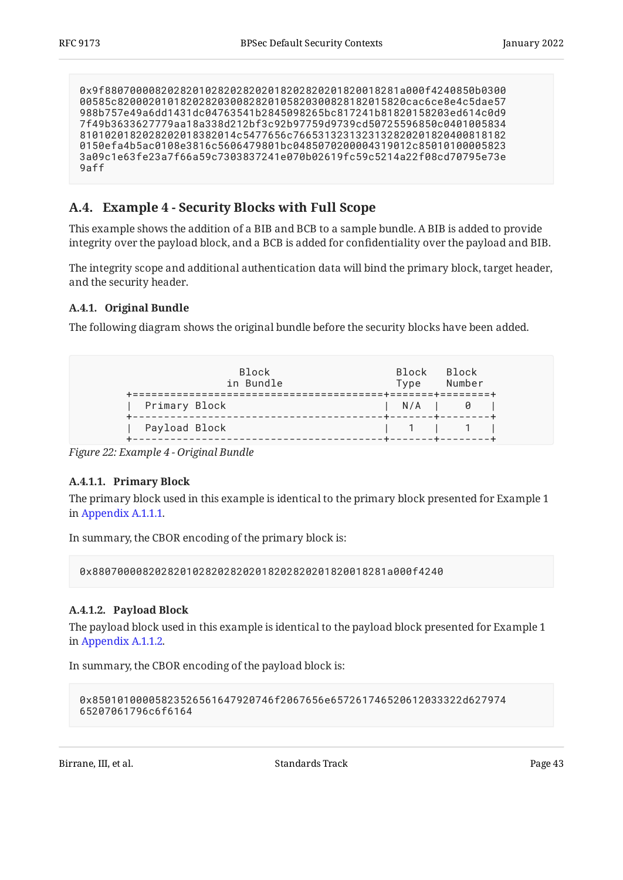```
0x9f88070000820282010282028202018202820201820018281a000f4240850b0300
00585c8200020101820282030082820105820300828182015820cac6ce8e4c5dae57
988b757e49a6dd1431dc04763541b2845098265bc817241b81820158203ed614c0d9
7f49b3633627779aa18a338d212bf3c92b97759d9739cd50725596850c0401005834
8101020182028202018382014c5477656c7665313231323132820201820400818182
0150efa4b5ac0108e3816c5606479801bc0485070200004319012c85010100005823
3a09c1e63fe23a7f66a59c7303837241e070b02619fc59c5214a22f08cd70795e73e
9aff
```
## <span id="page-42-0"></span>**[A.4. Example 4 - Security Blocks with Full Scope](#page-42-0)**

This example shows the addition of a BIB and BCB to a sample bundle. A BIB is added to provide integrity over the payload block, and a BCB is added for confidentiality over the payload and BIB.

The integrity scope and additional authentication data will bind the primary block, target header, and the security header.

## <span id="page-42-1"></span>**[A.4.1. Original Bundle](#page-42-1)**

<span id="page-42-2"></span>The following diagram shows the original bundle before the security blocks have been added.

| <b>Block</b><br>in Bundle<br>-------------------------- |                   | Block Block<br>Type Number<br>.=======+========+ |  |
|---------------------------------------------------------|-------------------|--------------------------------------------------|--|
| Primary Block                                           | +-------+-------- | $N/A$   0                                        |  |
| Payload Block                                           |                   | 1111                                             |  |

*[Figure 22: Example 4 - Original Bundle](#page-42-2)* 

## <span id="page-42-3"></span>**[A.4.1.1. Primary Block](#page-42-3)**

The primary block used in this example is identical to the primary block presented for Example 1 in [Appendix A.1.1.1](#page-28-3).

In summary, the CBOR encoding of the primary block is:

0x88070000820282010282028202018202820201820018281a000f4240

## <span id="page-42-4"></span>**[A.4.1.2. Payload Block](#page-42-4)**

The payload block used in this example is identical to the payload block presented for Example 1 in [Appendix A.1.1.2](#page-29-1).

In summary, the CBOR encoding of the payload block is:

```
0x85010100005823526561647920746f2067656e657261746520612033322d627974
65207061796c6f6164
```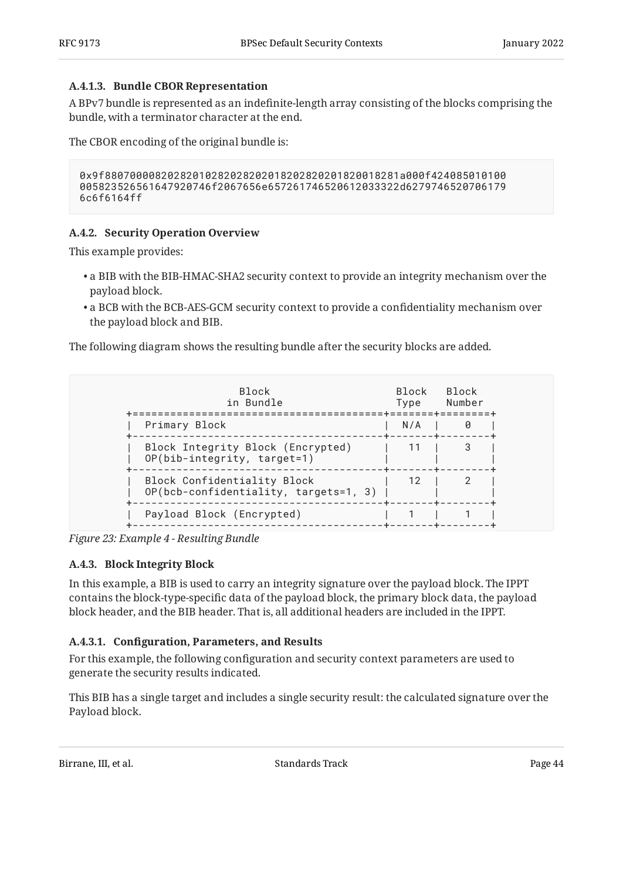## <span id="page-43-2"></span>**[A.4.1.3. Bundle CBOR Representation](#page-43-2)**

A BPv7 bundle is represented as an indefinite-length array consisting of the blocks comprising the bundle, with a terminator character at the end.

The CBOR encoding of the original bundle is:

```
0x9f88070000820282010282028202018202820201820018281a000f424085010100
005823526561647920746f2067656e657261746520612033322d6279746520706179
6c6f6164ff
```
## <span id="page-43-0"></span>**[A.4.2. Security Operation Overview](#page-43-0)**

This example provides:

- $\bullet$  a BIB with the BIB-HMAC-SHA2 security context to provide an integrity mechanism over the payload block.
- $\bullet$  a BCB with the BCB-AES-GCM security context to provide a confidentiality mechanism over the payload block and BIB.

The following diagram shows the resulting bundle after the security blocks are added.

<span id="page-43-3"></span>

| <b>Block</b><br>in Bundle                                            | Block.<br>Type | <b>Block</b><br>Number |
|----------------------------------------------------------------------|----------------|------------------------|
| Primary Block                                                        | N/A            |                        |
| Block Integrity Block (Encrypted)<br>OP(bib-integrity, target=1)     |                |                        |
| Block Confidentiality Block<br>OP(bcb-confidentiality, targets=1, 3) | 12             |                        |
| Payload Block (Encrypted)                                            |                |                        |

<span id="page-43-1"></span>*[Figure 23: Example 4 - Resulting Bundle](#page-43-3)* 

## **[A.4.3. Block Integrity Block](#page-43-1)**

In this example, a BIB is used to carry an integrity signature over the payload block. The IPPT contains the block-type-specific data of the payload block, the primary block data, the payload block header, and the BIB header. That is, all additional headers are included in the IPPT.

## <span id="page-43-4"></span>**[A.4.3.1.](#page-43-4) Confi[guration, Parameters, and Results](#page-43-4)**

For this example, the following configuration and security context parameters are used to generate the security results indicated.

This BIB has a single target and includes a single security result: the calculated signature over the Payload block.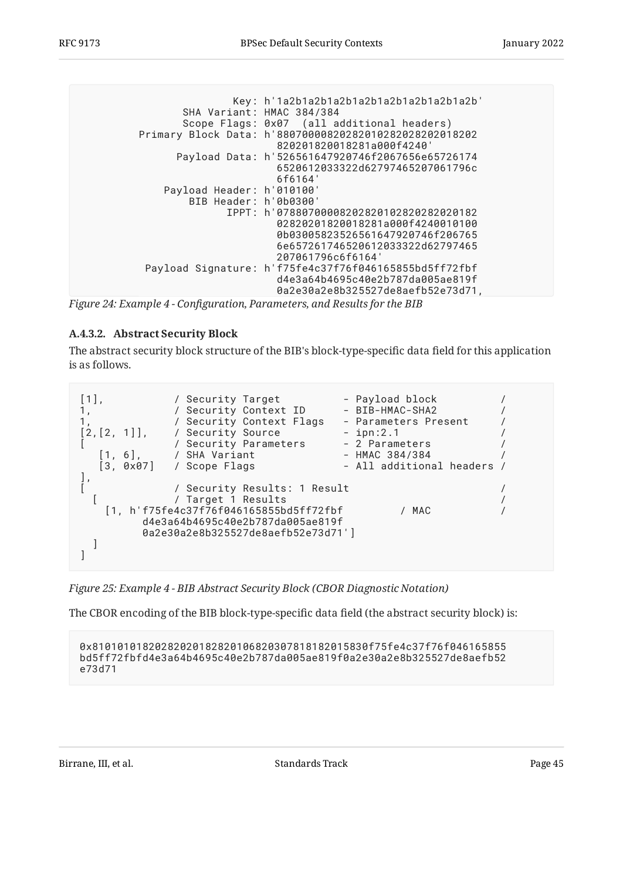<span id="page-44-0"></span> Key: h'1a2b1a2b1a2b1a2b1a2b1a2b1a2b1a2b' SHA Variant: HMAC 384/384 Scope Flags: 0x07 (all additional headers) Primary Block Data: h'88070000820282010282028202018202 820201820018281a000f4240' Payload Data: h'526561647920746f2067656e65726174 6520612033322d62797465207061796c 6f6164' Payload Header: h'010100' BIB Header: h'0b0300' IPPT: h'07880700008202820102820282020182 02820201820018281a000f4240010100 0b03005823526561647920746f206765 6e657261746520612033322d62797465 207061796c6f6164' Payload Signature: h'f75fe4c37f76f046165855bd5ff72fbf d4e3a64b4695c40e2b787da005ae819f 0a2e30a2e8b325527de8aefb52e73d71,

*[Figure 24:](#page-44-0) Example 4 - Confi[guration, Parameters, and Results for the BIB](#page-44-0)* 

## <span id="page-44-1"></span>**[A.4.3.2. Abstract Security Block](#page-44-1)**

The abstract security block structure of the BIB's block-type-specific data field for this application is as follows.

<span id="page-44-2"></span>

| $\lceil 1 \rceil$<br>[2, [2, 1]],<br>$\begin{bmatrix} 1, 6 \end{bmatrix}$<br>$[3, 0x07]$ | / Security Target<br>/ Security Context ID<br>/ Security Context Flags<br>/ Security Source<br>/ Security Parameters<br>/ SHA Variant<br>/ Scope Flags                 | - Payload block<br>- BIB-HMAC-SHA2<br>- Parameters Present<br>$-$ ipn:2.1<br>- 2 Parameters<br>- HMAC 384/384<br>- All additional headers / |  |
|------------------------------------------------------------------------------------------|------------------------------------------------------------------------------------------------------------------------------------------------------------------------|---------------------------------------------------------------------------------------------------------------------------------------------|--|
|                                                                                          | / Security Results: 1 Result<br>/ Target 1 Results<br>[1, h'f75fe4c37f76f046165855bd5ff72fbf<br>d4e3a64b4695c40e2b787da005ae819f<br>0a2e30a2e8b325527de8aefb52e73d71'] | / MAC                                                                                                                                       |  |

*[Figure 25: Example 4 - BIB Abstract Security Block \(CBOR Diagnostic Notation\)](#page-44-2)* 

The CBOR encoding of the BIB block-type-specific data field (the abstract security block) is:

0x81010101820282020182820106820307818182015830f75fe4c37f76f046165855 bd5ff72fbfd4e3a64b4695c40e2b787da005ae819f0a2e30a2e8b325527de8aefb52 e73d71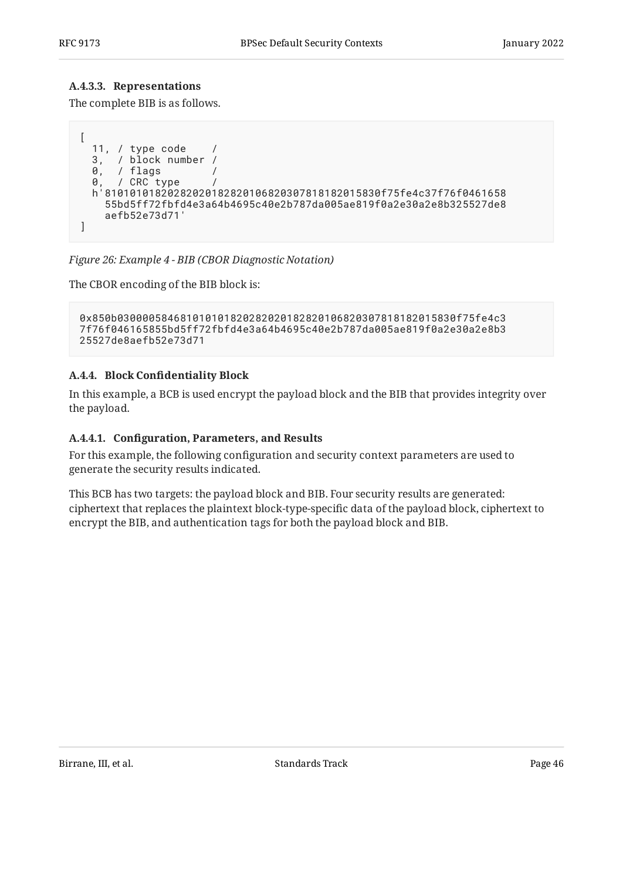#### <span id="page-45-1"></span>**[A.4.3.3. Representations](#page-45-1)**

The complete BIB is as follows.

```
\left[ \right] 11, / type code /
  3, / block number /<br>0, / flags /
   0, / flags /
 0, / CRC type /
 h'81010101820282020182820106820307818182015830f75fe4c37f76f0461658
     55bd5ff72fbfd4e3a64b4695c40e2b787da005ae819f0a2e30a2e8b325527de8
     aefb52e73d71'
]
```
*[Figure 26: Example 4 - BIB \(CBOR Diagnostic Notation\)](#page-45-2)* 

The CBOR encoding of the BIB block is:

```
0x850b030000584681010101820282020182820106820307818182015830f75fe4c3
7f76f046165855bd5ff72fbfd4e3a64b4695c40e2b787da005ae819f0a2e30a2e8b3
25527de8aefb52e73d71
```
#### <span id="page-45-0"></span>**[A.4.4.](#page-45-0) Block Confi[dentiality Block](#page-45-0)**

In this example, a BCB is used encrypt the payload block and the BIB that provides integrity over the payload.

#### <span id="page-45-3"></span>**[A.4.4.1.](#page-45-3) Confi[guration, Parameters, and Results](#page-45-3)**

For this example, the following configuration and security context parameters are used to generate the security results indicated.

<span id="page-45-4"></span>This BCB has two targets: the payload block and BIB. Four security results are generated: ciphertext that replaces the plaintext block-type-specific data of the payload block, ciphertext to encrypt the BIB, and authentication tags for both the payload block and BIB.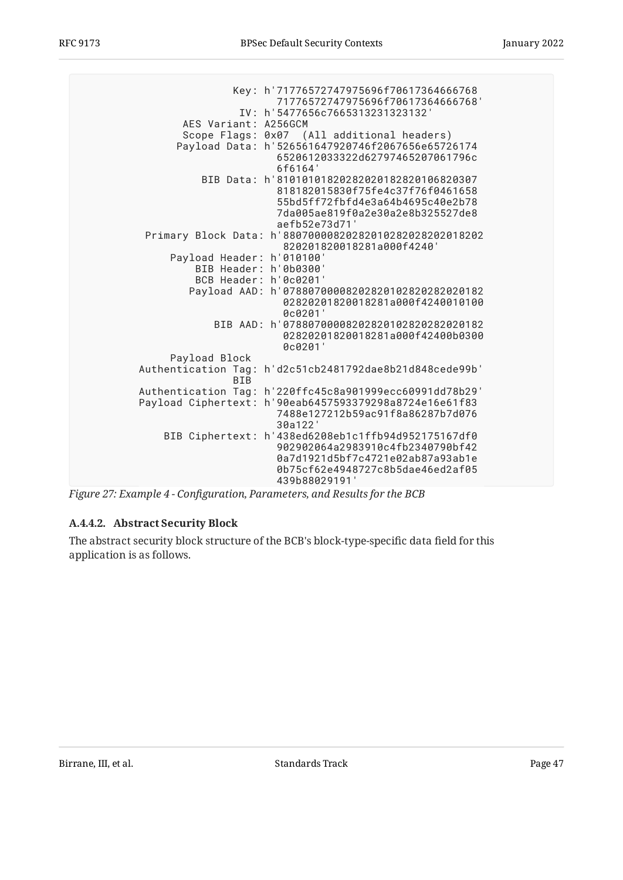<span id="page-46-0"></span> Key: h'71776572747975696f70617364666768 71776572747975696f70617364666768' IV: h'5477656c7665313231323132' AES Variant: A256GCM Scope Flags: 0x07 (All additional headers) Payload Data: h'526561647920746f2067656e65726174 6520612033322d62797465207061796c 6f6164' BIB Data: h'81010101820282020182820106820307 818182015830f75fe4c37f76f0461658 55bd5ff72fbfd4e3a64b4695c40e2b78 7da005ae819f0a2e30a2e8b325527de8 aefb52e73d71' Primary Block Data: h'88070000820282010282028202018202 820201820018281a000f4240' Payload Header: h'010100' BIB Header: h'0b0300' BCB Header: h'0c0201' Payload AAD: h'07880700008202820102820282020182 02820201820018281a000f4240010100 0c0201' BIB AAD: h'07880700008202820102820282020182 02820201820018281a000f42400b0300 0c0201' Payload Block Authentication Tag: h'd2c51cb2481792dae8b21d848cede99b' **BTB** Authentication Tag: h'220ffc45c8a901999ecc60991dd78b29' Payload Ciphertext: h'90eab6457593379298a8724e16e61f83 7488e127212b59ac91f8a86287b7d076 30a122' BIB Ciphertext: h'438ed6208eb1c1ffb94d952175167df0 902902064a2983910c4fb2340790bf42 0a7d1921d5bf7c4721e02ab87a93ab1e 0b75cf62e4948727c8b5dae46ed2af05 439b88029191'

*[Figure 27:](#page-46-0) Example 4 - Confi[guration, Parameters, and Results for the BCB](#page-45-4)* 

## <span id="page-46-1"></span>**[A.4.4.2. Abstract Security Block](#page-46-1)**

<span id="page-46-2"></span>The abstract security block structure of the BCB's block-type-specific data field for this application is as follows.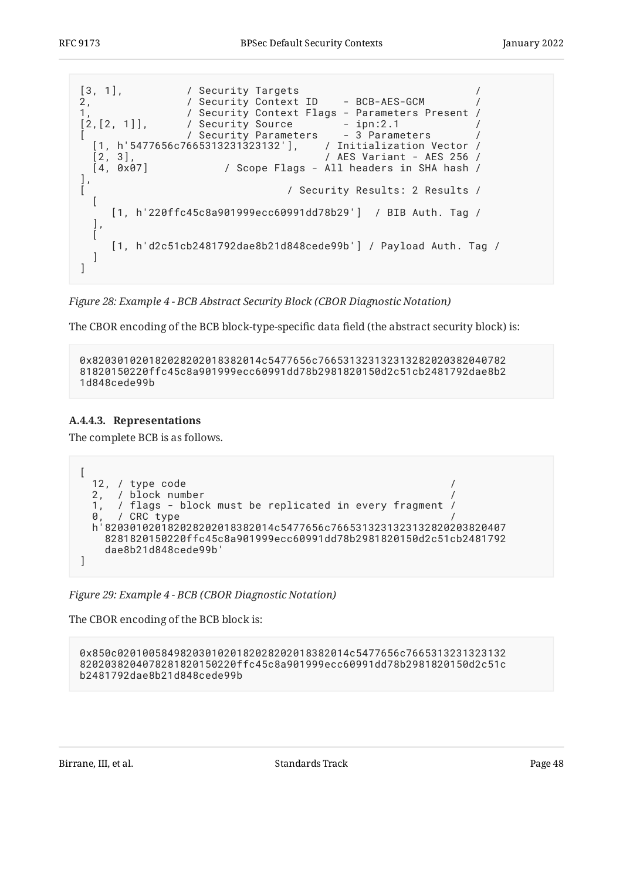<span id="page-47-0"></span>

*[Figure 28:](#page-47-0) [Example 4 - BCB Abstract Security Block \(CBOR Diagnostic Notation\)](#page-46-2)* 

The CBOR encoding of the BCB block-type-specific data field (the abstract security block) is:

```
0x820301020182028202018382014c5477656c766531323132313282020382040782
81820150220ffc45c8a901999ecc60991dd78b2981820150d2c51cb2481792dae8b2
1d848cede99b
```
#### <span id="page-47-1"></span>**[A.4.4.3. Representations](#page-47-1)**

The complete BCB is as follows.

```
[
  12, / type code /
  2, / block number /
  1, / flags - block must be replicated in every fragment /
  0, / CRC type /
  h'820301020182028202018382014c5477656c7665313231323132820203820407
     8281820150220ffc45c8a901999ecc60991dd78b2981820150d2c51cb2481792
     dae8b21d848cede99b'
]
```
*[Figure 29: Example 4 - BCB \(CBOR Diagnostic Notation\)](#page-47-2)* 

The CBOR encoding of the BCB block is:

```
0x850c0201005849820301020182028202018382014c5477656c7665313231323132
8202038204078281820150220ffc45c8a901999ecc60991dd78b2981820150d2c51c
b2481792dae8b21d848cede99b
```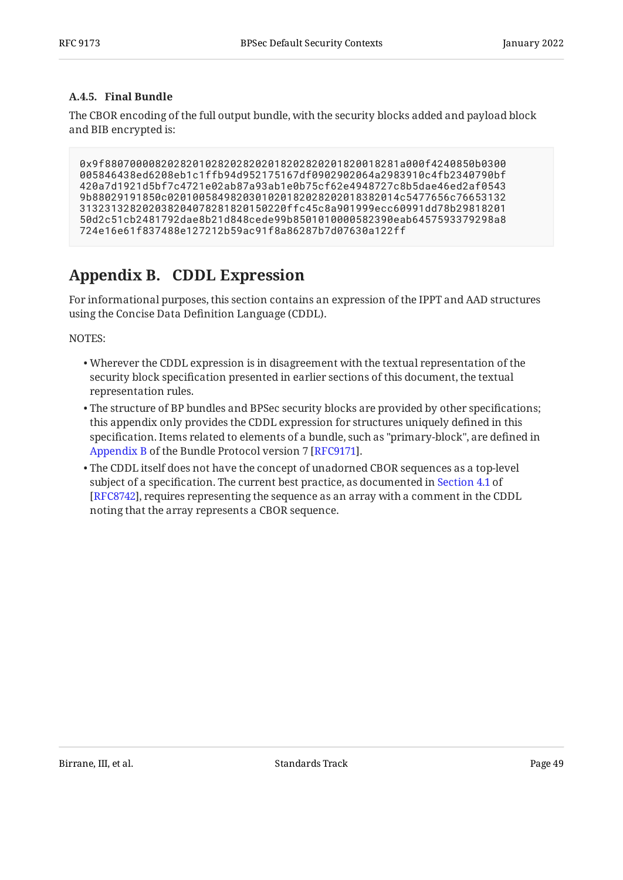## <span id="page-48-0"></span>**[A.4.5. Final Bundle](#page-48-0)**

The CBOR encoding of the full output bundle, with the security blocks added and payload block and BIB encrypted is:

```
0x9f88070000820282010282028202018202820201820018281a000f4240850b0300
005846438ed6208eb1c1ffb94d952175167df0902902064a2983910c4fb2340790bf
420a7d1921d5bf7c4721e02ab87a93ab1e0b75cf62e4948727c8b5dae46ed2af0543
9b88029191850c0201005849820301020182028202018382014c5477656c76653132
313231328202038204078281820150220ffc45c8a901999ecc60991dd78b29818201
50d2c51cb2481792dae8b21d848cede99b8501010000582390eab6457593379298a8
724e16e61f837488e127212b59ac91f8a86287b7d07630a122ff
```
# <span id="page-48-1"></span>**[Appendix B. CDDL Expression](#page-48-1)**

For informational purposes, this section contains an expression of the IPPT and AAD structures using the Concise Data Definition Language (CDDL).

NOTES:

- Wherever the CDDL expression is in disagreement with the textual representation of the security block specification presented in earlier sections of this document, the textual representation rules.
- The structure of BP bundles and BPSec security blocks are provided by other specifications; this appendix only provides the CDDL expression for structures uniquely defined in this specification. Items related to elements of a bundle, such as "primary-block", are defined in . [Appendix B](https://www.rfc-editor.org/rfc/rfc9171#appendix-B) of the Bundle Protocol version 7 [\[RFC9171](#page-27-2)]
- <span id="page-48-2"></span> $\bullet$  The CDDL itself does not have the concept of unadorned CBOR sequences as a top-level subject of a specification. The current best practice, as documented in [Section 4.1](https://www.rfc-editor.org/rfc/rfc8742#section-4.1) of [[RFC8742\]](#page-27-10), requires representing the sequence as an array with a comment in the CDDL noting that the array represents a CBOR sequence.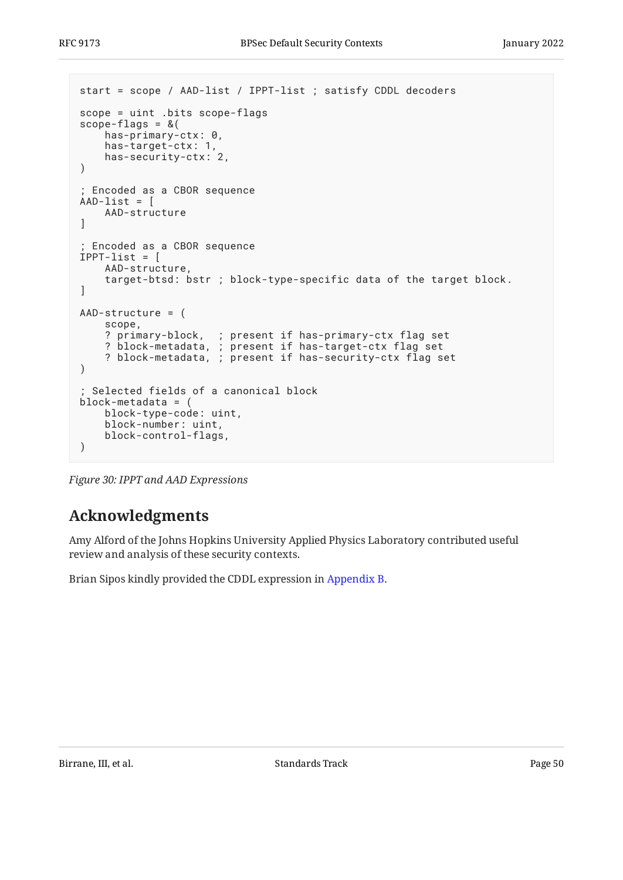```
start = scope / AAD-list / IPPT-list ; satisfy CDDL decoders
scope = uint .bits scope-flags
scope-flags = &( has-primary-ctx: 0,
     has-target-ctx: 1,
     has-security-ctx: 2,
)
; Encoded as a CBOR sequence
AAD-list = [ AAD-structure
]
; Encoded as a CBOR sequence
IPPT-list = \lceil AAD-structure,
     target-btsd: bstr ; block-type-specific data of the target block.
]
AAD-structure = (
     scope,
 ? primary-block, ; present if has-primary-ctx flag set
 ? block-metadata, ; present if has-target-ctx flag set
 ? block-metadata, ; present if has-security-ctx flag set
)
; Selected fields of a canonical block
block-metadata = (
     block-type-code: uint,
     block-number: uint,
     block-control-flags,
)
```
<span id="page-49-0"></span>*[Figure 30:](#page-49-1) [IPPT and AAD Expressions](#page-48-2)* 

# **[Acknowledgments](#page-49-0)**

Amy Alford of the Johns Hopkins University Applied Physics Laboratory contributed useful review and analysis of these security contexts.

Brian Sipos kindly provided the CDDL expression in [Appendix B.](#page-48-1)